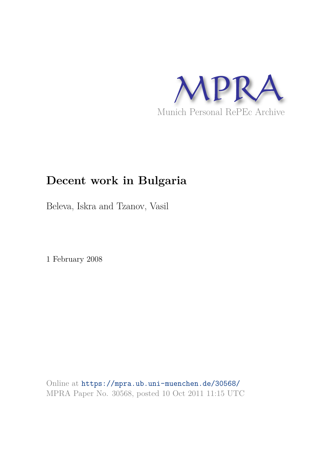

## **Decent work in Bulgaria**

Beleva, Iskra and Tzanov, Vasil

1 February 2008

Online at https://mpra.ub.uni-muenchen.de/30568/ MPRA Paper No. 30568, posted 10 Oct 2011 11:15 UTC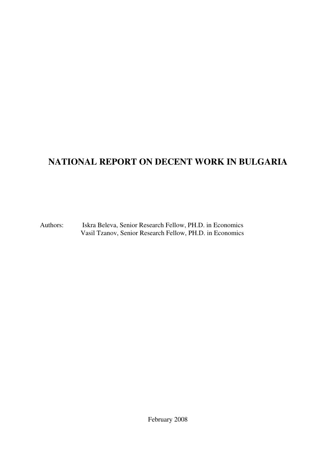## **NATIONAL REPORT ON DECENT WORK IN BULGARIA**

Authors: Iskra Beleva, Senior Research Fellow, PH.D. in Economics Vasil Tzanov, Senior Research Fellow, PH.D. in Economics

February 2008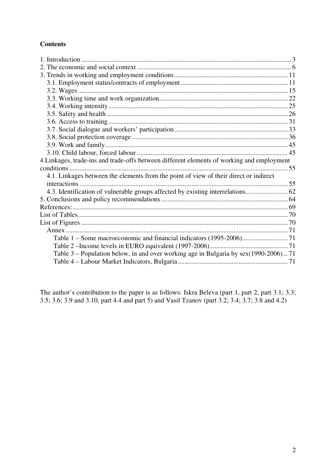### **Contents**

| 4. Linkages, trade-ins and trade-offs between different elements of working and employment |  |
|--------------------------------------------------------------------------------------------|--|
|                                                                                            |  |
| 4.1. Linkages between the elements from the point of view of their direct or indirect      |  |
|                                                                                            |  |
| 4.3. Identification of vulnerable groups affected by existing interrelations 62            |  |
|                                                                                            |  |
|                                                                                            |  |
|                                                                                            |  |
|                                                                                            |  |
|                                                                                            |  |
|                                                                                            |  |
|                                                                                            |  |
| Table 3 – Population below, in and over working age in Bulgaria by sex(1990-2006) 71       |  |
|                                                                                            |  |

The author's contribution to the paper is as follows: Iskra Beleva (part 1, part 2, part 3.1; 3.3; 3.5; 3.6; 3.9 and 3.10, part 4.4 and part 5) and Vasil Tzanov (part 3.2; 3.4; 3.7; 3.8 and 4.2)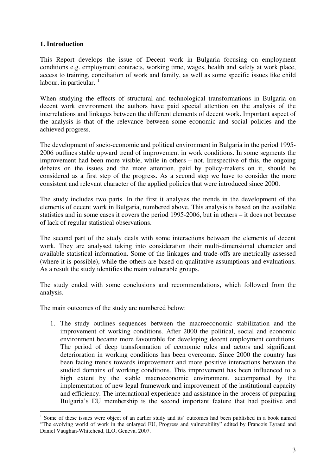#### **1. Introduction**

This Report develops the issue of Decent work in Bulgaria focusing on employment conditions e.g. employment contracts, working time, wages, health and safety at work place, access to training, conciliation of work and family, as well as some specific issues like child labour, in particular.  $1$ 

When studying the effects of structural and technological transformations in Bulgaria on decent work environment the authors have paid special attention on the analysis of the interrelations and linkages between the different elements of decent work. Important aspect of the analysis is that of the relevance between some economic and social policies and the achieved progress.

The development of socio-economic and political environment in Bulgaria in the period 1995- 2006 outlines stable upward trend of improvement in work conditions. In some segments the improvement had been more visible, while in others – not. Irrespective of this, the ongoing debates on the issues and the more attention, paid by policy-makers on it, should be considered as a first step of the progress. As a second step we have to consider the more consistent and relevant character of the applied policies that were introduced since 2000.

The study includes two parts. In the first it analyses the trends in the development of the elements of decent work in Bulgaria, numbered above. This analysis is based on the available statistics and in some cases it covers the period 1995-2006, but in others – it does not because of lack of regular statistical observations.

The second part of the study deals with some interactions between the elements of decent work. They are analysed taking into consideration their multi-dimensional character and available statistical information. Some of the linkages and trade-offs are metrically assessed (where it is possible), while the others are based on qualitative assumptions and evaluations. As a result the study identifies the main vulnerable groups.

The study ended with some conclusions and recommendations, which followed from the analysis.

The main outcomes of the study are numbered below:

<u>.</u>

1. The study outlines sequences between the macroeconomic stabilization and the improvement of working conditions. After 2000 the political, social and economic environment became more favourable for developing decent employment conditions. The period of deep transformation of economic rules and actors and significant deterioration in working conditions has been overcome. Since 2000 the country has been facing trends towards improvement and more positive interactions between the studied domains of working conditions. This improvement has been influenced to a high extent by the stable macroeconomic environment, accompanied by the implementation of new legal framework and improvement of the institutional capacity and efficiency. The international experience and assistance in the process of preparing Bulgaria's EU membership is the second important feature that had positive and

<sup>&</sup>lt;sup>1</sup> Some of these issues were object of an earlier study and its' outcomes had been published in a book named "The evolving world of work in the enlarged EU, Progress and vulnerability" edited by Francois Eyraud and Daniel Vaughan-Whitehead, ILO, Geneva, 2007.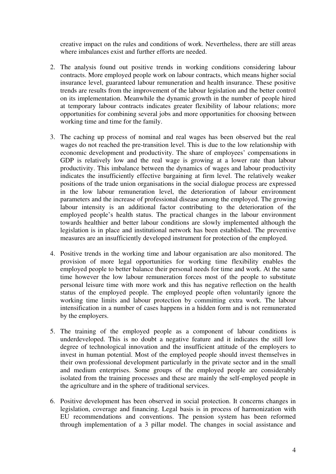creative impact on the rules and conditions of work. Nevertheless, there are still areas where imbalances exist and further efforts are needed.

- 2. The analysis found out positive trends in working conditions considering labour contracts. More employed people work on labour contracts, which means higher social insurance level, guaranteed labour remuneration and health insurance. These positive trends are results from the improvement of the labour legislation and the better control on its implementation. Meanwhile the dynamic growth in the number of people hired at temporary labour contracts indicates greater flexibility of labour relations; more opportunities for combining several jobs and more opportunities for choosing between working time and time for the family.
- 3. The caching up process of nominal and real wages has been observed but the real wages do not reached the pre-transition level. This is due to the low relationship with economic development and productivity. The share of employees' compensations in GDP is relatively low and the real wage is growing at a lower rate than labour productivity. This imbalance between the dynamics of wages and labour productivity indicates the insufficiently effective bargaining at firm level. The relatively weaker positions of the trade union organisations in the social dialogue process are expressed in the low labour remuneration level, the deterioration of labour environment parameters and the increase of professional disease among the employed. The growing labour intensity is an additional factor contributing to the deterioration of the employed people's health status. The practical changes in the labour environment towards healthier and better labour conditions are slowly implemented although the legislation is in place and institutional network has been established. The preventive measures are an insufficiently developed instrument for protection of the employed.
- 4. Positive trends in the working time and labour organisation are also monitored. The provision of more legal opportunities for working time flexibility enables the employed people to better balance their personal needs for time and work. At the same time however the low labour remuneration forces most of the people to substitute personal leisure time with more work and this has negative reflection on the health status of the employed people. The employed people often voluntarily ignore the working time limits and labour protection by committing extra work. The labour intensification in a number of cases happens in a hidden form and is not remunerated by the employers.
- 5. The training of the employed people as a component of labour conditions is underdeveloped. This is no doubt a negative feature and it indicates the still low degree of technological innovation and the insufficient attitude of the employers to invest in human potential. Most of the employed people should invest themselves in their own professional development particularly in the private sector and in the small and medium enterprises. Some groups of the employed people are considerably isolated from the training processes and these are mainly the self-employed people in the agriculture and in the sphere of traditional services.
- 6. Positive development has been observed in social protection. It concerns changes in legislation, coverage and financing. Legal basis is in process of harmonization with EU recommendations and conventions. The pension system has been reformed through implementation of a 3 pillar model. The changes in social assistance and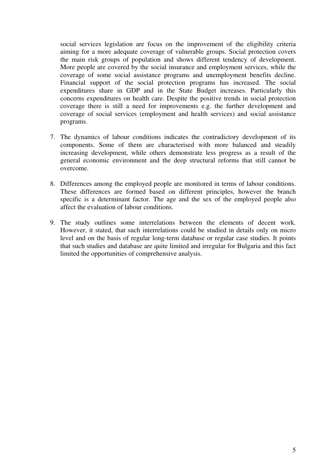social services legislation are focus on the improvement of the eligibility criteria aiming for a more adequate coverage of vulnerable groups. Social protection covers the main risk groups of population and shows different tendency of development. More people are covered by the social insurance and employment services, while the coverage of some social assistance programs and unemployment benefits decline. Financial support of the social protection programs has increased. The social expenditures share in GDP and in the State Budget increases. Particularly this concerns expenditures on health care. Despite the positive trends in social protection coverage there is still a need for improvements e.g. the further development and coverage of social services (employment and health services) and social assistance programs.

- 7. The dynamics of labour conditions indicates the contradictory development of its components. Some of them are characterised with more balanced and steadily increasing development, while others demonstrate less progress as a result of the general economic environment and the deep structural reforms that still cannot be overcome.
- 8. Differences among the employed people are monitored in terms of labour conditions. These differences are formed based on different principles, however the branch specific is a determinant factor. The age and the sex of the employed people also affect the evaluation of labour conditions.
- 9. The study outlines some interrelations between the elements of decent work. However, it stated, that such interrelations could be studied in details only on micro level and on the basis of regular long-term database or regular case studies. It points that such studies and database are quite limited and irregular for Bulgaria and this fact limited the opportunities of comprehensive analysis.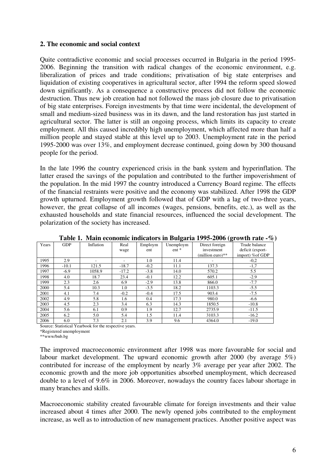#### **2. The economic and social context**

Quite contradictive economic and social processes occurred in Bulgaria in the period 1995- 2006. Beginning the transition with radical changes of the economic environment, e.g. liberalization of prices and trade conditions; privatisation of big state enterprises and liquidation of existing cooperatives in agricultural sector, after 1994 the reform speed slowed down significantly. As a consequence a constructive process did not follow the economic destruction. Thus new job creation had not followed the mass job closure due to privatisation of big state enterprises. Foreign investments by that time were incidental, the development of small and medium-sized business was in its dawn, and the land restoration has just started in agricultural sector. The latter is still an ongoing process, which limits its capacity to create employment. All this caused incredibly high unemployment, which affected more than half a million people and stayed stable at this level up to 2003. Unemployment rate in the period 1995-2000 was over 13%, and employment decrease continued, going down by 300 thousand people for the period.

In the late 1996 the country experienced crisis in the bank system and hyperinflation. The latter erased the savings of the population and contributed to the further impoverishment of the population. In the mid 1997 the country introduced a Currency Board regime. The effects of the financial restraints were positive and the economy was stabilized. After 1998 the GDP growth upturned. Employment growth followed that of GDP with a lag of two-three years, however, the great collapse of all incomes (wages, pensions, benefits, etc.), as well as the exhausted households and state financial resources, influenced the social development. The polarization of the society has increased.

|       |            |           |         |         |           |                    | Twore it main economic multinors in Durgaria 1990 4000 (growth rate $\pi$ |
|-------|------------|-----------|---------|---------|-----------|--------------------|---------------------------------------------------------------------------|
| Years | <b>GDP</b> | Inflation | Real    | Employm | Unemploym | Direct foreign     | Trade balance                                                             |
|       |            |           | wage    | ent     | $ent *$   | investment         | deficit (export-                                                          |
|       |            |           |         |         |           | $(million euro)**$ | import) % of GDP                                                          |
| 1995  | 2.9        |           |         | 1.0     | 11.4      |                    | $-0.2$                                                                    |
| 1996  | $-10.1$    | 121.5     | $-18.7$ | $-0.2$  | 11.1      | 137.3              | $-1,7$                                                                    |
| 1997  | $-6.9$     | 1058.9    | $-17.2$ | $-3.8$  | 14.0      | 570.2              | 5.5                                                                       |
| 1998  | 4.0        | 18.7      | 23.4    | $-0.1$  | 12.2      | 605.1              | $-2.9$                                                                    |
| 1999  | 2.3        | 2.6       | 6.9     | $-2.9$  | 13.8      | 866.0              | $-7.7$                                                                    |
| 2000  | 5.4        | 10.3      | 1.0     | $-3.5$  | 18.2      | 1103.3             | $-5.5$                                                                    |
| 2001  | 4.1        | 7.4       | $-0.2$  | $-0.4$  | 17.5      | 903.4              | $-7.5$                                                                    |
| 2002  | 4.9        | 5.8       | 1.6     | 0.4     | 17.3      | 980.0              | $-6.6$                                                                    |
| 2003  | 4.5        | 2.3       | 3.4     | 6.3     | 14.3      | 1850.5             | $-10.8$                                                                   |
| 2004  | 5.6        | 6.1       | 0.9     | 1.9     | 12.7      | 2735.9             | $-11.5$                                                                   |
| 2005  | 6.2        | 5.0       | 5.4     | 1.5     | 11.4      | 3103.3             | $-16.2$                                                                   |
| 2006  | 6.0        | 7.3       | 2.1     | 3.9     | 9.6       | 4364.0             | $-19.0$                                                                   |

**Table 1. Main economic indicators in Bulgaria 1995-2006 (growth rate -%)** 

Source: Statistical Yearbook for the respective years.

\*Registered unemployment

\*\*www/bnb.bg

The improved macroeconomic environment after 1998 was more favourable for social and labour market development. The upward economic growth after 2000 (by average 5%) contributed for increase of the employment by nearly 3% average per year after 2002. The economic growth and the more job opportunities absorbed unemployment, which decreased double to a level of 9.6% in 2006. Moreover, nowadays the country faces labour shortage in many branches and skills.

Macroeconomic stability created favourable climate for foreign investments and their value increased about 4 times after 2000. The newly opened jobs contributed to the employment increase, as well as to introduction of new management practices. Another positive aspect was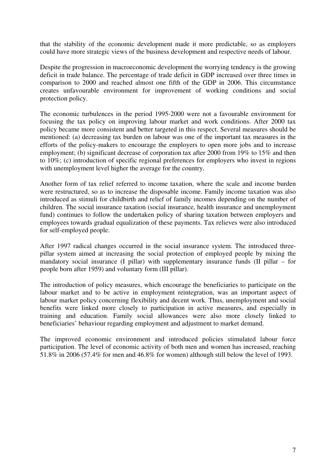that the stability of the economic development made it more predictable, so as employers could have more strategic views of the business development and respective needs of labour.

Despite the progression in macroeconomic development the worrying tendency is the growing deficit in trade balance. The percentage of trade deficit in GDP increased over three times in comparison to 2000 and reached almost one fifth of the GDP in 2006. This circumstance creates unfavourable environment for improvement of working conditions and social protection policy.

The economic turbulences in the period 1995-2000 were not a favourable environment for focusing the tax policy on improving labour market and work conditions. After 2000 tax policy became more consistent and better targeted in this respect. Several measures should be mentioned: (a) decreasing tax burden on labour was one of the important tax measures in the efforts of the policy-makers to encourage the employers to open more jobs and to increase employment; (b) significant decrease of corporation tax after 2000 from 19% to 15% and then to 10%; (c) introduction of specific regional preferences for employers who invest in regions with unemployment level higher the average for the country.

Another form of tax relief referred to income taxation, where the scale and income burden were restructured, so as to increase the disposable income. Family income taxation was also introduced as stimuli for childbirth and relief of family incomes depending on the number of children. The social insurance taxation (social insurance, health insurance and unemployment fund) continues to follow the undertaken policy of sharing taxation between employers and employees towards gradual equalization of these payments. Tax relieves were also introduced for self-employed people.

After 1997 radical changes occurred in the social insurance system. The introduced threepillar system aimed at increasing the social protection of employed people by mixing the mandatory social insurance (I pillar) with supplementary insurance funds (II pillar – for people born after 1959) and voluntary form (III pillar).

The introduction of policy measures, which encourage the beneficiaries to participate on the labour market and to be active in employment reintegration, was an important aspect of labour market policy concerning flexibility and decent work. Thus, unemployment and social benefits were linked more closely to participation in active measures, and especially in training and education. Family social allowances were also more closely linked to beneficiaries' behaviour regarding employment and adjustment to market demand.

The improved economic environment and introduced policies stimulated labour force participation. The level of economic activity of both men and women has increased, reaching 51.8% in 2006 (57.4% for men and 46.8% for women) although still below the level of 1993.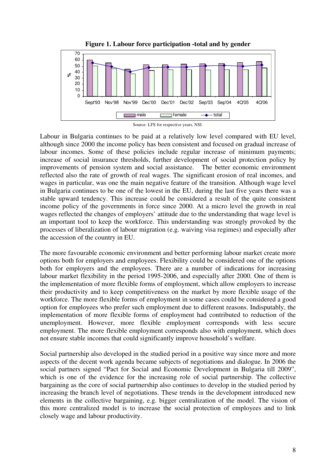

**Figure 1. Labour force participation -total and by gender** 



Labour in Bulgaria continues to be paid at a relatively low level compared with EU level, although since 2000 the income policy has been consistent and focused on gradual increase of labour incomes. Some of these policies include regular increase of minimum payments; increase of social insurance thresholds, further development of social protection policy by improvements of pension system and social assistance. The better economic environment reflected also the rate of growth of real wages. The significant erosion of real incomes, and wages in particular, was one the main negative feature of the transition. Although wage level in Bulgaria continues to be one of the lowest in the EU, during the last five years there was a stable upward tendency. This increase could be considered a result of the quite consistent income policy of the governments in force since 2000. At a micro level the growth in real wages reflected the changes of employers' attitude due to the understanding that wage level is an important tool to keep the workforce. This understanding was strongly provoked by the processes of liberalization of labour migration (e.g. waiving visa regimes) and especially after the accession of the country in EU.

The more favourable economic environment and better performing labour market create more options both for employers and employees. Flexibility could be considered one of the options both for employers and the employees. There are a number of indications for increasing labour market flexibility in the period 1995-2006, and especially after 2000. One of them is the implementation of more flexible forms of employment, which allow employers to increase their productivity and to keep competitiveness on the market by more flexible usage of the workforce. The more flexible forms of employment in some cases could be considered a good option for employees who prefer such employment due to different reasons. Indisputably, the implementation of more flexible forms of employment had contributed to reduction of the unemployment. However, more flexible employment corresponds with less secure employment. The more flexible employment corresponds also with employment, which does not ensure stable incomes that could significantly improve household's welfare.

Social partnership also developed in the studied period in a positive way since more and more aspects of the decent work agenda became subjects of negotiations and dialogue. In 2006 the social partners signed "Pact for Social and Economic Development in Bulgaria till 2009", which is one of the evidence for the increasing role of social partnership. The collective bargaining as the core of social partnership also continues to develop in the studied period by increasing the branch level of negotiations. These trends in the development introduced new elements in the collective bargaining, e.g. bigger centralization of the model. The vision of this more centralized model is to increase the social protection of employees and to link closely wage and labour productivity.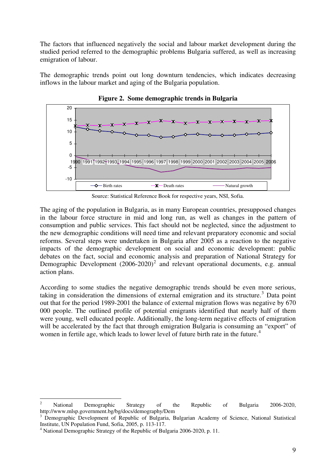The factors that influenced negatively the social and labour market development during the studied period referred to the demographic problems Bulgaria suffered, as well as increasing emigration of labour.

The demographic trends point out long downturn tendencies, which indicates decreasing inflows in the labour market and aging of the Bulgaria population.



**Figure 2. Some demographic trends in Bulgaria** 

Source: Statistical Reference Book for respective years, NSI, Sofia.

The aging of the population in Bulgaria, as in many European countries, presupposed changes in the labour force structure in mid and long run, as well as changes in the pattern of consumption and public services. This fact should not be neglected, since the adjustment to the new demographic conditions will need time and relevant preparatory economic and social reforms. Several steps were undertaken in Bulgaria after 2005 as a reaction to the negative impacts of the demographic development on social and economic development: public debates on the fact, social and economic analysis and preparation of National Strategy for Demographic Development  $(2006-2020)^2$  and relevant operational documents, e.g. annual action plans.

According to some studies the negative demographic trends should be even more serious, taking in consideration the dimensions of external emigration and its structure.<sup>3</sup> Data point out that for the period 1989-2001 the balance of external migration flows was negative by 670 000 people. The outlined profile of potential emigrants identified that nearly half of them were young, well educated people. Additionally, the long-term negative effects of emigration will be accelerated by the fact that through emigration Bulgaria is consuming an "export" of women in fertile age, which leads to lower level of future birth rate in the future.<sup>4</sup>

 $\frac{1}{2}$  National Demographic Strategy of the Republic of Bulgaria 2006-2020, http://www.mlsp.government.bg/bg/docs/demography/Dem

<sup>3</sup> Demographic Development of Republic of Bulgaria, Bulgarian Academy of Science, National Statistical Institute, UN Population Fund, Sofia, 2005, p. 113-117.

<sup>&</sup>lt;sup>4</sup> National Demographic Strategy of the Republic of Bulgaria 2006-2020, p. 11.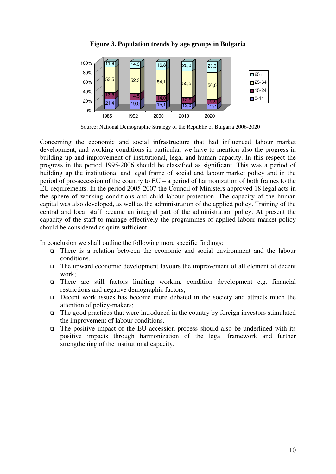

**Figure 3. Population trends by age groups in Bulgaria** 

Source: National Demographic Strategy of the Republic of Bulgaria 2006-2020

Concerning the economic and social infrastructure that had influenced labour market development, and working conditions in particular, we have to mention also the progress in building up and improvement of institutional, legal and human capacity. In this respect the progress in the period 1995-2006 should be classified as significant. This was a period of building up the institutional and legal frame of social and labour market policy and in the period of pre-accession of the country to EU – a period of harmonization of both frames to the EU requirements. In the period 2005-2007 the Council of Ministers approved 18 legal acts in the sphere of working conditions and child labour protection. The capacity of the human capital was also developed, as well as the administration of the applied policy. Training of the central and local staff became an integral part of the administration policy. At present the capacity of the staff to manage effectively the programmes of applied labour market policy should be considered as quite sufficient.

In conclusion we shall outline the following more specific findings:

- There is a relation between the economic and social environment and the labour conditions.
- $\Box$  The upward economic development favours the improvement of all element of decent work;
- There are still factors limiting working condition development e.g. financial restrictions and negative demographic factors;
- Decent work issues has become more debated in the society and attracts much the attention of policy-makers;
- $\Box$  The good practices that were introduced in the country by foreign investors stimulated the improvement of labour conditions.
- $\Box$  The positive impact of the EU accession process should also be underlined with its positive impacts through harmonization of the legal framework and further strengthening of the institutional capacity.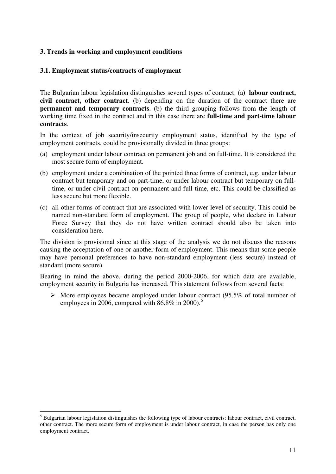#### **3. Trends in working and employment conditions**

#### **3.1. Employment status/contracts of employment**

The Bulgarian labour legislation distinguishes several types of contract: (a**) labour contract, civil contract, other contract**. (b) depending on the duration of the contract there are **permanent and temporary contracts**. (b) the third grouping follows from the length of working time fixed in the contract and in this case there are **full-time and part-time labour contracts**.

In the context of job security/insecurity employment status, identified by the type of employment contracts, could be provisionally divided in three groups:

- (a) employment under labour contract on permanent job and on full-time. It is considered the most secure form of employment.
- (b) employment under a combination of the pointed three forms of contract, e.g. under labour contract but temporary and on part-time, or under labour contract but temporary on fulltime, or under civil contract on permanent and full-time, etc. This could be classified as less secure but more flexible.
- (c) all other forms of contract that are associated with lower level of security. This could be named non-standard form of employment. The group of people, who declare in Labour Force Survey that they do not have written contract should also be taken into consideration here.

The division is provisional since at this stage of the analysis we do not discuss the reasons causing the acceptation of one or another form of employment. This means that some people may have personal preferences to have non-standard employment (less secure) instead of standard (more secure).

Bearing in mind the above, during the period 2000-2006, for which data are available, employment security in Bulgaria has increased. This statement follows from several facts:

 $\triangleright$  More employees became employed under labour contract (95.5% of total number of employees in 2006, compared with  $86.8\%$  in 2000).<sup>5</sup>

<u>.</u>

<sup>&</sup>lt;sup>5</sup> Bulgarian labour legislation distinguishes the following type of labour contracts: labour contract, civil contract, other contract. The more secure form of employment is under labour contract, in case the person has only one employment contract.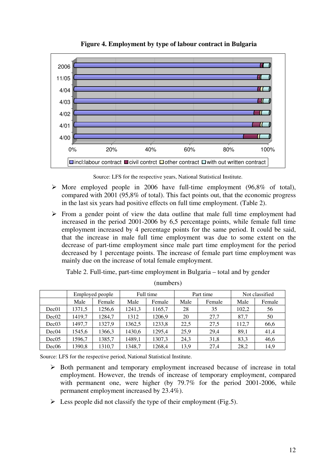

**Figure 4. Employment by type of labour contract in Bulgaria** 

Source: LFS for the respective years, National Statistical Institute.

- $\triangleright$  More employed people in 2006 have full-time employment (96,8% of total), compared with 2001 (95,8% of total). This fact points out, that the economic progress in the last six years had positive effects on full time employment. (Table 2).
- $\triangleright$  From a gender point of view the data outline that male full time employment had increased in the period 2001-2006 by 6,5 percentage points, while female full time employment increased by 4 percentage points for the same period. It could be said, that the increase in male full time employment was due to some extent on the decrease of part-time employment since male part time employment for the period decreased by 1 percentage points. The increase of female part time employment was mainly due on the increase of total female employment.

Table 2. Full-time, part-time employment in Bulgaria – total and by gender

|                   | Employed people |        | Full time |        |      | Part time | Not classified |        |
|-------------------|-----------------|--------|-----------|--------|------|-----------|----------------|--------|
|                   | Male            | Female | Male      | Female | Male | Female    | Male           | Female |
| Dec01             | 1371,5          | 1256,6 | 1241,3    | 1165,7 | 28   | 35        | 102,2          | 56     |
| Dec02             | 1419,7          | 1284,7 | 1312      | 1206,9 | 20   | 27.7      | 87,7           | 50     |
| Dec <sub>03</sub> | 1497,7          | 1327,9 | 1362,5    | 1233,8 | 22.5 | 27,5      | 112,7          | 66,6   |
| Dec04             | 1545,6          | 1366,3 | 1430,6    | 1295,4 | 25.9 | 29,4      | 89.1           | 41,4   |
| Dec05             | 1596,7          | 1385,7 | 1489,1    | 1307,3 | 24.3 | 31,8      | 83,3           | 46,6   |
| Dec06             | 1390,8          | 1310,7 | 1348.7    | 1268,4 | 13,9 | 27.4      | 28,2           | 14.9   |

(numbers)

Source: LFS for the respective period, National Statistical Institute.

- $\triangleright$  Both permanent and temporary employment increased because of increase in total employment. However, the trends of increase of temporary employment, compared with permanent one, were higher (by 79.7% for the period 2001-2006, while permanent employment increased by 23.4%).
- $\triangleright$  Less people did not classify the type of their employment (Fig.5).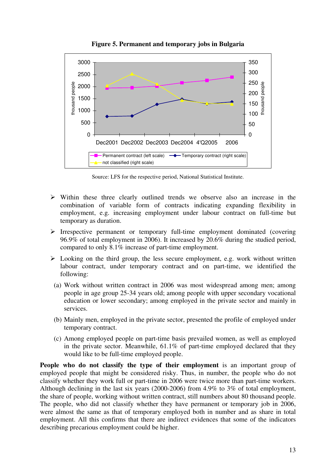

**Figure 5. Permanent and temporary jobs in Bulgaria** 

Source: LFS for the respective period, National Statistical Institute.

- $\triangleright$  Within these three clearly outlined trends we observe also an increase in the combination of variable form of contracts indicating expanding flexibility in employment, e.g. increasing employment under labour contract on full-time but temporary as duration.
- $\triangleright$  Irrespective permanent or temporary full-time employment dominated (covering 96.9% of total employment in 2006). It increased by 20.6% during the studied period, compared to only 8.1% increase of part-time employment.
- $\triangleright$  Looking on the third group, the less secure employment, e.g. work without written labour contract, under temporary contract and on part-time, we identified the following:
- (a) Work without written contract in 2006 was most widespread among men; among people in age group 25-34 years old; among people with upper secondary vocational education or lower secondary; among employed in the private sector and mainly in services.
- (b) Mainly men, employed in the private sector, presented the profile of employed under temporary contract.
- (c) Among employed people on part-time basis prevailed women, as well as employed in the private sector. Meanwhile, 61.1% of part-time employed declared that they would like to be full-time employed people.

**People who do not classify the type of their employment** is an important group of employed people that might be considered risky. Thus, in number, the people who do not classify whether they work full or part-time in 2006 were twice more than part-time workers. Although declining in the last six years (2000-2006) from 4.9% to 3% of total employment, the share of people, working without written contract, still numbers about 80 thousand people. The people, who did not classify whether they have permanent or temporary job in 2006, were almost the same as that of temporary employed both in number and as share in total employment. All this confirms that there are indirect evidences that some of the indicators describing precarious employment could be higher.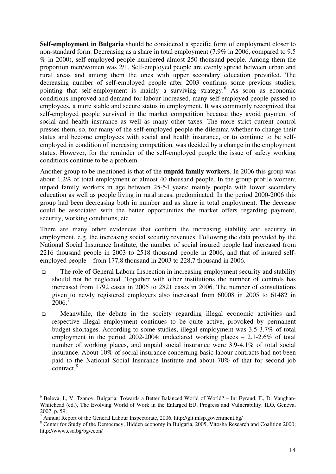**Self-employment in Bulgaria** should be considered a specific form of employment closer to non-standard form. Decreasing as a share in total employment (7.9% in 2006, compared to 9.5 % in 2000), self-employed people numbered almost 250 thousand people. Among them the proportion men/women was 2/1. Self-employed people are evenly spread between urban and rural areas and among them the ones with upper secondary education prevailed. The decreasing number of self-employed people after 2003 confirms some previous studies, pointing that self-employment is mainly a surviving strategy.<sup>6</sup> As soon as economic conditions improved and demand for labour increased, many self-employed people passed to employees, a more stable and secure status in employment. It was commonly recognized that self-employed people survived in the market competition because they avoid payment of social and health insurance as well as many other taxes. The more strict current control presses them, so, for many of the self-employed people the dilemma whether to change their status and become employees with social and health insurance, or to continue to be selfemployed in condition of increasing competition, was decided by a change in the employment status. However, for the reminder of the self-employed people the issue of safety working conditions continue to be a problem.

Another group to be mentioned is that of the **unpaid family workers**. In 2006 this group was about 1.2% of total employment or almost 40 thousand people. In the group profile women; unpaid family workers in age between 25-54 years; mainly people with lower secondary education as well as people living in rural areas, predominated. In the period 2000-2006 this group had been decreasing both in number and as share in total employment. The decrease could be associated with the better opportunities the market offers regarding payment, security, working conditions, etc.

There are many other evidences that confirm the increasing stability and security in employment, e.g. the increasing social security revenues. Following the data provided by the National Social Insurance Institute, the number of social insured people had increased from 2216 thousand people in 2003 to 2518 thousand people in 2006, and that of insured selfemployed people – from 177,8 thousand in 2003 to 228,7 thousand in 2006.

- The role of General Labour Inspection in increasing employment security and stability should not be neglected. Together with other institutions the number of controls has increased from 1792 cases in 2005 to 2821 cases in 2006. The number of consultations given to newly registered employers also increased from 60008 in 2005 to 61482 in  $2006.<sup>7</sup>$
- Meanwhile, the debate in the society regarding illegal economic activities and respective illegal employment continues to be quite active, provoked by permanent budget shortages. According to some studies, illegal employment was 3.5-3.7% of total employment in the period 2002-2004; undeclared working places – 2.1-2.6% of total number of working places, and unpaid social insurance were 3.9-4.1% of total social insurance. About 10% of social insurance concerning basic labour contracts had not been paid to the National Social Insurance Institute and about 70% of that for second job contract.<sup>8</sup>

<u>.</u>

<sup>6</sup> Beleva, I., V. Tzanov. Bulgaria: Towards a Better Balanced World of World? – In: Eyraud, F., D. Vaughan-Whitehead (ed.), The Evolving World of Work in the Enlarged EU, Progress and Vulnerability. ILO, Geneva, 2007, p. 59.

<sup>&</sup>lt;sup>7</sup> Annual Report of the General Labour Inspectorate, 2006, http://git.mlsp.government.bg/

<sup>&</sup>lt;sup>8</sup> Center for Study of the Democracy, Hidden economy in Bulgaria, 2005, Vitosha Research and Coalition 2000; http://www.csd.bg/bg/econ/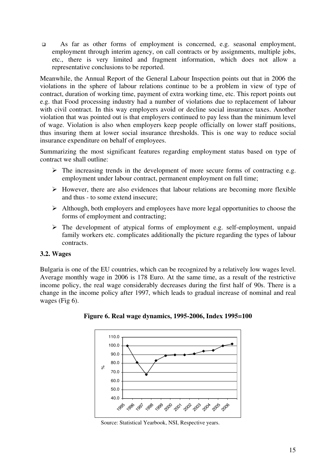As far as other forms of employment is concerned, e.g. seasonal employment, employment through interim agency, on call contracts or by assignments, multiple jobs, etc., there is very limited and fragment information, which does not allow a representative conclusions to be reported.

Meanwhile, the Annual Report of the General Labour Inspection points out that in 2006 the violations in the sphere of labour relations continue to be a problem in view of type of contract, duration of working time, payment of extra working time, etc. This report points out e.g. that Food processing industry had a number of violations due to replacement of labour with civil contract. In this way employers avoid or decline social insurance taxes. Another violation that was pointed out is that employers continued to pay less than the minimum level of wage. Violation is also when employers keep people officially on lower staff positions, thus insuring them at lower social insurance thresholds. This is one way to reduce social insurance expenditure on behalf of employees.

Summarizing the most significant features regarding employment status based on type of contract we shall outline:

- $\triangleright$  The increasing trends in the development of more secure forms of contracting e.g. employment under labour contract, permanent employment on full time;
- $\triangleright$  However, there are also evidences that labour relations are becoming more flexible and thus - to some extend insecure;
- $\triangleright$  Although, both employers and employees have more legal opportunities to choose the forms of employment and contracting;
- $\triangleright$  The development of atypical forms of employment e.g. self-employment, unpaid family workers etc. complicates additionally the picture regarding the types of labour contracts.

#### **3.2. Wages**

Bulgaria is one of the EU countries, which can be recognized by a relatively low wages level. Average monthly wage in 2006 is 178 Euro. At the same time, as a result of the restrictive income policy, the real wage considerably decreases during the first half of 90s. There is a change in the income policy after 1997, which leads to gradual increase of nominal and real wages (Fig 6).



**Figure 6. Real wage dynamics, 1995-2006, Index 1995=100** 

Source: Statistical Yearbook, NSI, Respective years.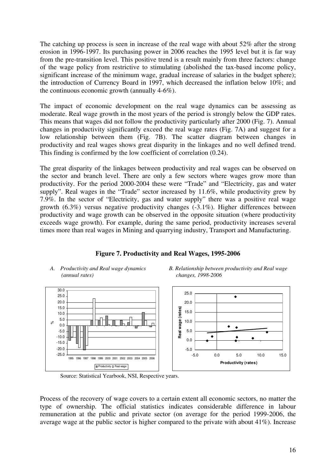The catching up process is seen in increase of the real wage with about 52% after the strong erosion in 1996-1997. Its purchasing power in 2006 reaches the 1995 level but it is far way from the pre-transition level. This positive trend is a result mainly from three factors: change of the wage policy from restrictive to stimulating (abolished the tax-based income policy, significant increase of the minimum wage, gradual increase of salaries in the budget sphere); the introduction of Currency Board in 1997, which decreased the inflation below 10%; and the continuous economic growth (annually 4-6%).

The impact of economic development on the real wage dynamics can be assessing as moderate. Real wage growth in the most years of the period is strongly below the GDP rates. This means that wages did not follow the productivity particularly after 2000 (Fig. 7). Annual changes in productivity significantly exceed the real wage rates (Fig. 7A) and suggest for a low relationship between them (Fig. 7B). The scatter diagram between changes in productivity and real wages shows great disparity in the linkages and no well defined trend. This finding is confirmed by the low coefficient of correlation (0.24).

The great disparity of the linkages between productivity and real wages can be observed on the sector and branch level. There are only a few sectors where wages grow more than productivity. For the period 2000-2004 these were "Trade" and "Electricity, gas and water supply". Real wages in the "Trade" sector increased by 11.6%, while productivity grew by 7.9%. In the sector of "Electricity, gas and water supply" there was a positive real wage growth (6.3%) versus negative productivity changes (-3.1%). Higher differences between productivity and wage growth can be observed in the opposite situation (where productivity exceeds wage growth). For example, during the same period, productivity increases several times more than real wages in Mining and quarrying industry, Transport and Manufacturing.

# *A. Productivity and Real wage dynamics B. Relationship between productivity and Real wage (annual rates) changes, 1998-2006*

**Figure 7. Productivity and Real Wages, 1995-2006** 



Source: Statistical Yearbook, NSI, Respective years.

-25.0 -20.0 -15.0 -10.0 -5.0 0.0 5.0 10.0 15.0 20.0 25.0 30.0

 $\geq$ 

Process of the recovery of wage covers to a certain extent all economic sectors, no matter the type of ownership. The official statistics indicates considerable difference in labour remuneration at the public and private sector (on average for the period 1999-2006, the average wage at the public sector is higher compared to the private with about 41%). Increase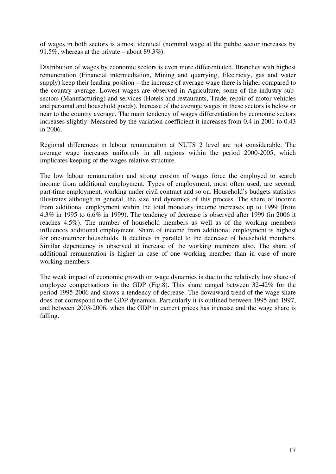of wages in both sectors is almost identical (nominal wage at the public sector increases by 91.5%, whereas at the private – about 89.3%).

Distribution of wages by economic sectors is even more differentiated. Branches with highest remuneration (Financial intermediation, Mining and quarrying, Electricity, gas and water supply) keep their leading position – the increase of average wage there is higher compared to the country average. Lowest wages are observed in Agriculture, some of the industry subsectors (Manufacturing) and services (Hotels and restaurants, Trade, repair of motor vehicles and personal and household goods). Increase of the average wages in these sectors is below or near to the country average. The main tendency of wages differentiation by economic sectors increases slightly. Measured by the variation coefficient it increases from 0.4 in 2001 to 0.43 in 2006.

Regional differences in labour remuneration at NUTS 2 level are not considerable. The average wage increases uniformly in all regions within the period 2000-2005, which implicates keeping of the wages relative structure.

The low labour remuneration and strong erosion of wages force the employed to search income from additional employment. Types of employment, most often used, are second, part-time employment, working under civil contract and so on. Household's budgets statistics illustrates although in general, the size and dynamics of this process. The share of income from additional employment within the total monetary income increases up to 1999 (from 4.3% in 1995 to 6.6% in 1999). The tendency of decrease is observed after 1999 (in 2006 it reaches 4.5%). The number of household members as well as of the working members influences additional employment. Share of income from additional employment is highest for one-member households. It declines in parallel to the decrease of household members. Similar dependency is observed at increase of the working members also. The share of additional remuneration is higher in case of one working member than in case of more working members.

The weak impact of economic growth on wage dynamics is due to the relatively low share of employee compensations in the GDP (Fig.8). This share ranged between 32-42% for the period 1995-2006 and shows a tendency of decrease. The downward trend of the wage share does not correspond to the GDP dynamics. Particularly it is outlined between 1995 and 1997, and between 2003-2006, when the GDP in current prices has increase and the wage share is falling.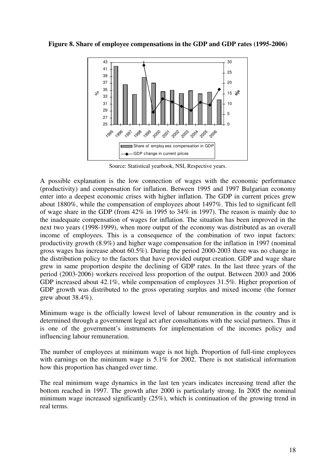**Figure 8. Share of employee compensations in the GDP and GDP rates (1995-2006)** 



Source: Statistical yearbook, NSI, Respective years.

A possible explanation is the low connection of wages with the economic performance (productivity) and compensation for inflation. Between 1995 and 1997 Bulgarian economy enter into a deepest economic crises with higher inflation. The GDP in current prices grew about 1880%, while the compensation of employees about 1497%. This led to significant fell of wage share in the GDP (from 42% in 1995 to 34% in 1997). The reason is mainly due to the inadequate compensation of wages for inflation. The situation has been improved in the next two years (1998-1999), when more output of the economy was distributed as an overall income of employees. This is a consequence of the combination of two input factors: productivity growth (8.9%) and higher wage compensation for the inflation in 1997 (nominal gross wages has increase about 60.5%). During the period 2000-2003 there was no change in the distribution policy to the factors that have provided output creation. GDP and wage share grew in same proportion despite the declining of GDP rates. In the last three years of the period (2003-2006) workers received less proportion of the output. Between 2003 and 2006 GDP increased about 42.1%, while compensation of employees 31.5%. Higher proportion of GDP growth was distributed to the gross operating surplus and mixed income (the former grew about 38.4%).

Minimum wage is the officially lowest level of labour remuneration in the country and is determined through a government legal act after consultations with the social partners. Thus it is one of the government's instruments for implementation of the incomes policy and influencing labour remuneration.

The number of employees at minimum wage is not high. Proportion of full-time employees with earnings on the minimum wage is 5.1% for 2002. There is not statistical information how this proportion has changed over time.

The real minimum wage dynamics in the last ten years indicates increasing trend after the bottom reached in 1997. The growth after 2000 is particularly strong. In 2005 the nominal minimum wage increased significantly (25%), which is continuation of the growing trend in real terms.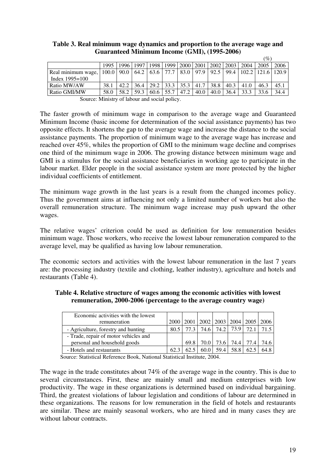|                    |                |      |      |                |      |           |      |                                                       |      |      | $\%$          |       |
|--------------------|----------------|------|------|----------------|------|-----------|------|-------------------------------------------------------|------|------|---------------|-------|
|                    | 1995           |      |      |                |      |           |      | 1996   1997   1998   1999   2000   2001   2002   2003 |      | 2004 | 2005          | 2006  |
| Real minimum wage, | $100.0$   90.0 |      |      | 64.2 63.6 77.7 |      | 83.0 97.9 |      | 92.5                                                  | 99.4 |      | $102.2$ 121.6 | 120.9 |
| Index $1995 = 100$ |                |      |      |                |      |           |      |                                                       |      |      |               |       |
| Ratio MW/AW        | 38.1           | 42.2 | 36.4 | 29.2           | 33.3 | 135.3     | 41.7 | 38.8                                                  | 40.3 | 41.0 | 46.3          | 45.1  |
| Ratio GMI/MW       | 58.0           | 58.2 | 59.3 | 60.6           | 55.7 | 47.2      | 40.0 | 40.0                                                  | 36.4 | 33.3 | 33.6          | 34.4  |

#### **Table 3. Real minimum wage dynamics and proportion to the average wage and Guaranteed Minimum Income (GMI), (1995-2006)**

Source: Ministry of labour and social policy.

The faster growth of minimum wage in comparison to the average wage and Guaranteed Minimum Income (basic income for determination of the social assistance payments) has two opposite effects. It shortens the gap to the average wage and increase the distance to the social assistance payments. The proportion of minimum wage to the average wage has increase and reached over 45%, whiles the proportion of GMI to the minimum wage decline and comprises one third of the minimum wage in 2006. The growing distance between minimum wage and GMI is a stimulus for the social assistance beneficiaries in working age to participate in the labour market. Elder people in the social assistance system are more protected by the higher individual coefficients of entitlement.

The minimum wage growth in the last years is a result from the changed incomes policy. Thus the government aims at influencing not only a limited number of workers but also the overall remuneration structure. The minimum wage increase may push upward the other wages.

The relative wages' criterion could be used as definition for low remuneration besides minimum wage. Those workers, who receive the lowest labour remuneration compared to the average level, may be qualified as having low labour remuneration.

The economic sectors and activities with the lowest labour remuneration in the last 7 years are: the processing industry (textile and clothing, leather industry), agriculture and hotels and restaurants (Table 4).

#### **Table 4. Relative structure of wages among the economic activities with lowest remuneration, 2000-2006 (percentage to the average country wage)**

| Economic activities with the lowest   |           |     |      |      |                                                     |      |      |
|---------------------------------------|-----------|-----|------|------|-----------------------------------------------------|------|------|
| remuneration                          | 2000 2001 |     |      |      | $\vert 2002 \vert 2003 \vert 2004 \vert 2005 \vert$ |      | 2006 |
| - Agriculture, forestry and hunting   | 80.5      | 773 | 74.6 | 74.2 | 73.9                                                | 721  |      |
| - Trade, repair of motor vehicles and |           |     |      |      |                                                     |      |      |
| personal and household goods          |           |     |      |      | 69.8 70.0 73.6 74.4 77.4                            |      | 74.6 |
| - Hotels and restaurants              | 62.3      |     |      | 59.4 | 58.8                                                | 62.5 | 64.8 |

Source: Statistical Reference Book, National Statistical Institute, 2004.

The wage in the trade constitutes about 74% of the average wage in the country. This is due to several circumstances. First, these are mainly small and medium enterprises with low productivity. The wage in these organizations is determined based on individual bargaining. Third, the greatest violations of labour legislation and conditions of labour are determined in these organizations. The reasons for low remuneration in the field of hotels and restaurants are similar. These are mainly seasonal workers, who are hired and in many cases they are without labour contracts.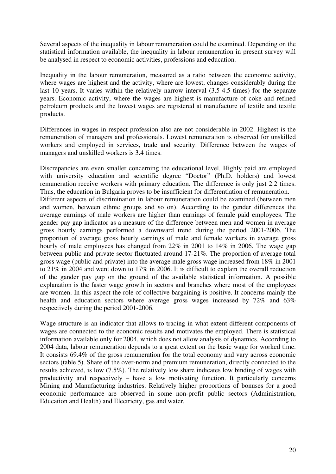Several aspects of the inequality in labour remuneration could be examined. Depending on the statistical information available, the inequality in labour remuneration in present survey will be analysed in respect to economic activities, professions and education.

Inequality in the labour remuneration, measured as a ratio between the economic activity, where wages are highest and the activity, where are lowest, changes considerably during the last 10 years. It varies within the relatively narrow interval (3.5-4.5 times) for the separate years. Economic activity, where the wages are highest is manufacture of coke and refined petroleum products and the lowest wages are registered at manufacture of textile and textile products.

Differences in wages in respect profession also are not considerable in 2002. Highest is the remuneration of managers and professionals. Lowest remuneration is observed for unskilled workers and employed in services, trade and security. Difference between the wages of managers and unskilled workers is 3.4 times.

Discrepancies are even smaller concerning the educational level. Highly paid are employed with university education and scientific degree "Doctor" (Ph.D. holders) and lowest remuneration receive workers with primary education. The difference is only just 2.2 times. Thus, the education in Bulgaria proves to be insufficient for differentiation of remuneration. Different aspects of discrimination in labour remuneration could be examined (between men and women, between ethnic groups and so on). According to the gender differences the average earnings of male workers are higher than earnings of female paid employees. The gender pay gap indicator as a measure of the difference between men and women in average gross hourly earnings performed a downward trend during the period 2001-2006. The proportion of average gross hourly earnings of male and female workers in average gross hourly of male employees has changed from 22% in 2001 to 14% in 2006. The wage gap between public and private sector fluctuated around 17-21%. The proportion of average total gross wage (public and private) into the average male gross wage increased from 18% in 2001 to 21% in 2004 and went down to 17% in 2006. It is difficult to explain the overall reduction of the gander pay gap on the ground of the available statistical information. A possible explanation is the faster wage growth in sectors and branches where most of the employees are women. In this aspect the role of collective bargaining is positive. It concerns mainly the health and education sectors where average gross wages increased by 72% and 63% respectively during the period 2001-2006.

Wage structure is an indicator that allows to tracing in what extent different components of wages are connected to the economic results and motivates the employed. There is statistical information available only for 2004, which does not allow analysis of dynamics. According to 2004 data, labour remuneration depends to a great extent on the basic wage for worked time. It consists 69.4% of the gross remuneration for the total economy and vary across economic sectors (table 5). Share of the over-norm and premium remuneration, directly connected to the results achieved, is low (7.5%). The relatively low share indicates low binding of wages with productivity and respectively – have a low motivating function. It particularly concerns Mining and Manufacturing industries. Relatively higher proportions of bonuses for a good economic performance are observed in some non-profit public sectors (Administration, Education and Health) and Electricity, gas and water.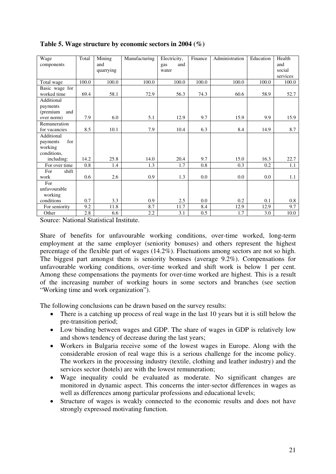| Wage<br>components            | Total | Mining<br>and<br>quarrying | Manufacturing | Electricity,<br>and<br>gas<br>water | Finance          | Administration | Education | Health<br>and<br>social<br>services |
|-------------------------------|-------|----------------------------|---------------|-------------------------------------|------------------|----------------|-----------|-------------------------------------|
| Total wage                    | 100.0 | 100.0                      | 100.0         | 100.0                               | 100.0            | 100.0          | 100.0     | 100.0                               |
| Basic wage for<br>worked time | 69.4  | 58.1                       | 72.9          | 56.3                                | 74.3             | 60.6           | 58.9      | 52.7                                |
| Additional                    |       |                            |               |                                     |                  |                |           |                                     |
| payments                      |       |                            |               |                                     |                  |                |           |                                     |
| and<br>(premium               |       |                            |               |                                     |                  |                |           |                                     |
| over norm)                    | 7.9   | 6.0                        | 5.1           | 12.9                                | 9.7              | 15.9           | 9.9       | 15.9                                |
| Remuneration<br>for vacancies | 8.5   | 10.1                       | 7.9           | 10.4                                | 6.3              | 8.4            | 14.9      | 8.7                                 |
| Additional                    |       |                            |               |                                     |                  |                |           |                                     |
| for<br>payments               |       |                            |               |                                     |                  |                |           |                                     |
| working                       |       |                            |               |                                     |                  |                |           |                                     |
| conditions,                   |       |                            |               |                                     |                  |                |           |                                     |
| including:                    | 14.2  | 25.8                       | 14.0          | 20.4                                | 9.7              | 15.0           | 16.3      | 22.7                                |
| For over time                 | 0.8   | 1.4                        | 1.3           | 1.7                                 | 0.8              | 0.3            | 0.2       | 1.1                                 |
| For<br>shift                  |       |                            |               |                                     |                  |                |           |                                     |
| work                          | 0.6   | 2.6                        | 0.9           | 1.3                                 | 0.0              | 0.0            | 0.0       | 1.1                                 |
| For                           |       |                            |               |                                     |                  |                |           |                                     |
| unfavourable                  |       |                            |               |                                     |                  |                |           |                                     |
| working                       |       |                            |               |                                     |                  |                |           |                                     |
| conditions                    | 0.7   | 3.3                        | 0.9           | 2.5                                 | 0.0              | 0.2            | 0.1       | 0.8                                 |
| For seniority                 | 9.2   | 11.8                       | 8.7           | 11.7                                | 8.4              | 12.9           | 12.9      | 9.7                                 |
| Other                         | 2.8   | 6.6                        | 2.2           | 3.1                                 | $\overline{0.5}$ | 1.7            | 3.0       | 10.0                                |

**Table 5. Wage structure by economic sectors in 2004 (%)** 

Source: National Statistical Institute.

Share of benefits for unfavourable working conditions, over-time worked, long-term employment at the same employer (seniority bonuses) and others represent the highest percentage of the flexible part of wages (14.2%). Fluctuations among sectors are not so high. The biggest part amongst them is seniority bonuses (average 9.2%). Compensations for unfavourable working conditions, over-time worked and shift work is below 1 per cent. Among these compensations the payments for over-time worked are highest. This is a result of the increasing number of working hours in some sectors and branches (see section "Working time and work organization").

The following conclusions can be drawn based on the survey results:

- There is a catching up process of real wage in the last 10 years but it is still below the pre-transition period;
- Low binding between wages and GDP. The share of wages in GDP is relatively low and shows tendency of decrease during the last years;
- Workers in Bulgaria receive some of the lowest wages in Europe. Along with the considerable erosion of real wage this is a serious challenge for the income policy. The workers in the processing industry (textile, clothing and leather industry) and the services sector (hotels) are with the lowest remuneration;
- Wage inequality could be evaluated as moderate. No significant changes are monitored in dynamic aspect. This concerns the inter-sector differences in wages as well as differences among particular professions and educational levels;
- Structure of wages is weakly connected to the economic results and does not have strongly expressed motivating function.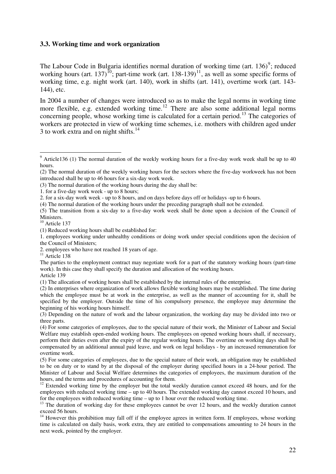#### **3.3. Working time and work organization**

The Labour Code in Bulgaria identifies normal duration of working time (art.  $136)^9$ ; reduced working hours (art. 137)<sup>10</sup>; part-time work (art. 138-139)<sup>11</sup>, as well as some specific forms of working time, e.g. night work (art. 140), work in shifts (art. 141), overtime work (art. 143- 144), etc.

In 2004 a number of changes were introduced so as to make the legal norms in working time more flexible, e.g. extended working time.<sup>12</sup> There are also some additional legal norms concerning people, whose working time is calculated for a certain period.<sup>13</sup> The categories of workers are protected in view of working time schemes, i.e. mothers with children aged under 3 to work extra and on night shifts. $14$ 

2. for a six-day work week - up to 8 hours, and on days before days off or holidays -up to 6 hours.

(4) The normal duration of the working hours under the preceding paragraph shall not be extended.

(5) The transition from a six-day to a five-day work week shall be done upon a decision of the Council of Ministers.

<sup>10</sup> Article 137

1. employees working under unhealthy conditions or doing work under special conditions upon the decision of the Council of Ministers;

 $\overline{11}$  Article 138

Article 139

(1) The allocation of working hours shall be established by the internal rules of the enterprise.

(3) Depending on the nature of work and the labour organization, the working day may be divided into two or three parts.

<sup>&</sup>lt;sup>9</sup> Article136 (1) The normal duration of the weekly working hours for a five-day work week shall be up to 40 hours.

<sup>(2)</sup> The normal duration of the weekly working hours for the sectors where the five-day workweek has not been introduced shall be up to 46 hours for a six-day work week.

<sup>(3)</sup> The normal duration of the working hours during the day shall be:

<sup>1.</sup> for a five-day work week - up to 8 hours;

<sup>(1)</sup> Reduced working hours shall be established for:

<sup>2.</sup> employees who have not reached 18 years of age.

The parties to the employment contract may negotiate work for a part of the statutory working hours (part-time work). In this case they shall specify the duration and allocation of the working hours.

<sup>(2)</sup> In enterprises where organization of work allows flexible working hours may be established. The time during which the employee must be at work in the enterprise, as well as the manner of accounting for it, shall be specified by the employer. Outside the time of his compulsory presence, the employee may determine the beginning of his working hours himself.

<sup>(4)</sup> For some categories of employees, due to the special nature of their work, the Minister of Labour and Social Welfare may establish open-ended working hours. The employees on opened working hours shall, if necessary, perform their duties even after the expiry of the regular working hours. The overtime on working days shall be compensated by an additional annual paid leave, and work on legal holidays - by an increased remuneration for overtime work.

<sup>(5)</sup> For some categories of employees, due to the special nature of their work, an obligation may be established to be on duty or to stand by at the disposal of the employer during specified hours in a 24-hour period. The Minister of Labour and Social Welfare determines the categories of employees, the maximum duration of the hours, and the terms and procedures of accounting for them.

<sup>&</sup>lt;sup>12</sup> Extended working time by the employer but the total weekly duration cannot exceed 48 hours, and for the employees with reduced working time – up to 40 hours. The extended working day cannot exceed 10 hours, and for the employees with reduced working time – up to 1 hour over the reduced working time.

<sup>&</sup>lt;sup>13</sup> The duration of working day for these employees cannot be over 12 hours, and the weekly duration cannot exceed 56 hours.

<sup>&</sup>lt;sup>14</sup> However this prohibition may fall off if the employee agrees in written form. If employees, whose working time is calculated on daily basis, work extra, they are entitled to compensations amounting to 24 hours in the next week, pointed by the employer.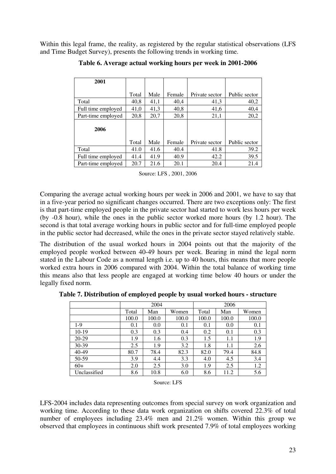Within this legal frame, the reality, as registered by the regular statistical observations (LFS and Time Budget Survey), presents the following trends in working time.

| 2001               |       |      |        |                |               |
|--------------------|-------|------|--------|----------------|---------------|
|                    |       |      |        |                |               |
|                    | Total | Male | Female | Private sector | Public sector |
| Total              | 40,8  | 41,1 | 40,4   | 41,3           | 40,2          |
| Full time employed | 41,0  | 41,3 | 40,8   | 41,6           | 40,4          |
| Part-time employed | 20,8  | 20,7 | 20,8   | 21,1           | 20,2          |
| 2006               |       |      |        |                |               |
|                    | Total | Male | Female | Private sector | Public sector |
| Total              | 41.0  | 41.6 | 40.4   | 41.8           | 39.2          |
| Full time employed | 41.4  | 41.9 | 40.9   | 42.2           | 39.5          |
| Part-time employed | 20.7  | 21.6 | 20.1   | 20.4           | 21.4          |

**Table 6. Average actual working hours per week in 2001-2006** 

| Source: LFS, 2001, 2006 |  |  |  |  |
|-------------------------|--|--|--|--|
|-------------------------|--|--|--|--|

Comparing the average actual working hours per week in 2006 and 2001, we have to say that in a five-year period no significant changes occurred. There are two exceptions only: The first is that part-time employed people in the private sector had started to work less hours per week (by -0.8 hour), while the ones in the public sector worked more hours (by 1.2 hour). The second is that total average working hours in public sector and for full-time employed people in the public sector had decreased, while the ones in the private sector stayed relatively stable.

The distribution of the usual worked hours in 2004 points out that the majority of the employed people worked between 40-49 hours per week. Bearing in mind the legal norm stated in the Labour Code as a normal length i.e. up to 40 hours, this means that more people worked extra hours in 2006 compared with 2004. Within the total balance of working time this means also that less people are engaged at working time below 40 hours or under the legally fixed norm.

|              |       | 2004  |       | 2006  |       |       |  |
|--------------|-------|-------|-------|-------|-------|-------|--|
|              | Total | Man   | Women | Total | Man   | Women |  |
|              | 100.0 | 100.0 | 100.0 | 100.0 | 100.0 | 100.0 |  |
| $1-9$        | 0.1   | 0.0   | 0.1   | 0.1   | 0.0   | 0.1   |  |
| 10-19        | 0.3   | 0.3   | 0.4   | 0.2   | 0.1   | 0.3   |  |
| 20-29        | 1.9   | 1.6   | 0.3   | 1.5   | 1.1   | 1.9   |  |
| 30-39        | 2.5   | 1.9   | 3.2   | 1.8   | 1.1   | 2.6   |  |
| $40 - 49$    | 80.7  | 78.4  | 82.3  | 82.0  | 79.4  | 84.8  |  |
| 50-59        | 3.9   | 4.4   | 3.3   | 4.0   | 4.5   | 3.4   |  |
| $60+$        | 2.0   | 2.5   | 3.0   | 1.9   | 2.5   | 1.2   |  |
| Unclassified | 8.6   | 10.8  | 6.0   | 8.6   | 11.2  | 5.6   |  |

**Table 7. Distribution of employed people by usual worked hours - structure** 

#### Source: LFS

LFS-2004 includes data representing outcomes from special survey on work organization and working time. According to these data work organization on shifts covered 22.3% of total number of employees including 23.4% men and 21.2% women. Within this group we observed that employees in continuous shift work presented 7.9% of total employees working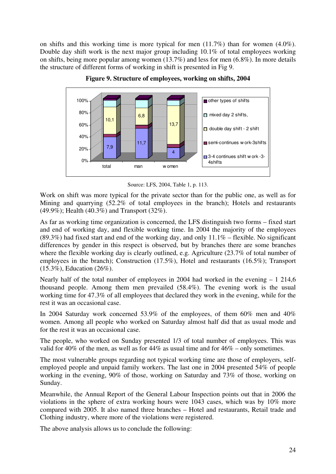on shifts and this working time is more typical for men (11.7%) than for women (4.0%). Double day shift work is the next major group including 10.1% of total employees working on shifts, being more popular among women (13.7%) and less for men (6.8%). In more details the structure of different forms of working in shift is presented in Fig 9.



**Figure 9. Structure of employees, working on shifts, 2004** 

Source: LFS, 2004, Table 1, p. 113.

Work on shift was more typical for the private sector than for the public one, as well as for Mining and quarrying (52.2% of total employees in the branch); Hotels and restaurants (49.9%); Health (40.3%) and Transport (32%).

As far as working time organization is concerned, the LFS distinguish two forms – fixed start and end of working day, and flexible working time. In 2004 the majority of the employees  $(89.3\%)$  had fixed start and end of the working day, and only  $11.1\%$  – flexible. No significant differences by gender in this respect is observed, but by branches there are some branches where the flexible working day is clearly outlined, e.g. Agriculture (23.7% of total number of employees in the branch); Construction (17.5%), Hotel and restaurants (16.5%); Transport (15.3%), Education (26%).

Nearly half of the total number of employees in 2004 had worked in the evening  $-1$  214,6 thousand people. Among them men prevailed (58.4%). The evening work is the usual working time for 47.3% of all employees that declared they work in the evening, while for the rest it was an occasional case.

In 2004 Saturday work concerned 53.9% of the employees, of them 60% men and 40% women. Among all people who worked on Saturday almost half did that as usual mode and for the rest it was an occasional case.

The people, who worked on Sunday presented 1/3 of total number of employees. This was valid for 40% of the men, as well as for 44% as usual time and for 46% – only sometimes.

The most vulnerable groups regarding not typical working time are those of employers, selfemployed people and unpaid family workers. The last one in 2004 presented 54% of people working in the evening, 90% of those, working on Saturday and 73% of those, working on Sunday.

Meanwhile, the Annual Report of the General Labour Inspection points out that in 2006 the violations in the sphere of extra working hours were 1043 cases, which was by 10% more compared with 2005. It also named three branches – Hotel and restaurants, Retail trade and Clothing industry, where more of the violations were registered.

The above analysis allows us to conclude the following: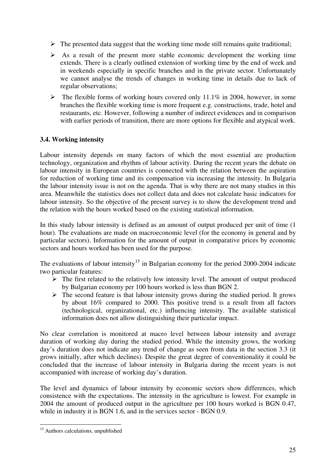- $\triangleright$  The presented data suggest that the working time mode still remains quite traditional;
- $\triangleright$  As a result of the present more stable economic development the working time extends. There is a clearly outlined extension of working time by the end of week and in weekends especially in specific branches and in the private sector. Unfortunately we cannot analyse the trends of changes in working time in details due to lack of regular observations;
- $\triangleright$  The flexible forms of working hours covered only 11.1% in 2004, however, in some branches the flexible working time is more frequent e.g. constructions, trade, hotel and restaurants, etc. However, following a number of indirect evidences and in comparison with earlier periods of transition, there are more options for flexible and atypical work.

#### **3.4. Working intensity**

Labour intensity depends on many factors of which the most essential are production technology, organization and rhythm of labour activity. During the recent years the debate on labour intensity in European countries is connected with the relation between the aspiration for reduction of working time and its compensation via increasing the intensity. In Bulgaria the labour intensity issue is not on the agenda. That is why there are not many studies in this area. Meanwhile the statistics does not collect data and does not calculate basic indicators for labour intensity. So the objective of the present survey is to show the development trend and the relation with the hours worked based on the existing statistical information.

In this study labour intensity is defined as an amount of output produced per unit of time (1 hour). The evaluations are made on macroeconomic level (for the economy in general and by particular sectors). Information for the amount of output in comparative prices by economic sectors and hours worked has been used for the purpose.

The evaluations of labour intensity<sup>15</sup> in Bulgarian economy for the period 2000-2004 indicate two particular features:

- $\triangleright$  The first related to the relatively low intensity level. The amount of output produced by Bulgarian economy per 100 hours worked is less than BGN 2.
- $\triangleright$  The second feature is that labour intensity grows during the studied period. It grows by about 16% compared to 2000. This positive trend is a result from all factors (technological, organizational, etc.) influencing intensity. The available statistical information does not allow distinguishing their particular impact.

No clear correlation is monitored at macro level between labour intensity and average duration of working day during the studied period. While the intensity grows, the working day's duration does not indicate any trend of change as seen from data in the section 3.3 (it grows initially, after which declines). Despite the great degree of conventionality it could be concluded that the increase of labour intensity in Bulgaria during the recent years is not accompanied with increase of working day's duration.

The level and dynamics of labour intensity by economic sectors show differences, which consistence with the expectations. The intensity in the agriculture is lowest. For example in 2004 the amount of produced output in the agriculture per 100 hours worked is BGN 0.47, while in industry it is BGN 1.6, and in the services sector - BGN 0.9.

<sup>-</sup><sup>15</sup> Authors calculations, unpublished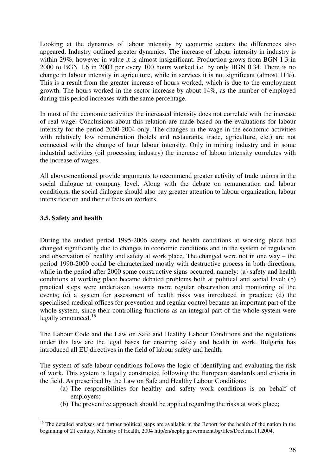Looking at the dynamics of labour intensity by economic sectors the differences also appeared. Industry outlined greater dynamics. The increase of labour intensity in industry is within 29%, however in value it is almost insignificant. Production grows from BGN 1.3 in 2000 to BGN 1.6 in 2003 per every 100 hours worked i.e. by only BGN 0.34. There is no change in labour intensity in agriculture, while in services it is not significant (almost 11%). This is a result from the greater increase of hours worked, which is due to the employment growth. The hours worked in the sector increase by about 14%, as the number of employed during this period increases with the same percentage.

In most of the economic activities the increased intensity does not correlate with the increase of real wage. Conclusions about this relation are made based on the evaluations for labour intensity for the period 2000-2004 only. The changes in the wage in the economic activities with relatively low remuneration (hotels and restaurants, trade, agriculture, etc.) are not connected with the change of hour labour intensity. Only in mining industry and in some industrial activities (oil processing industry) the increase of labour intensity correlates with the increase of wages.

All above-mentioned provide arguments to recommend greater activity of trade unions in the social dialogue at company level. Along with the debate on remuneration and labour conditions, the social dialogue should also pay greater attention to labour organization, labour intensification and their effects on workers.

#### **3.5. Safety and health**

During the studied period 1995-2006 safety and health conditions at working place had changed significantly due to changes in economic conditions and in the system of regulation and observation of healthy and safety at work place. The changed were not in one way – the period 1990-2000 could be characterized mostly with destructive process in both directions, while in the period after 2000 some constructive signs occurred, namely: (a) safety and health conditions at working place became debated problems both at political and social level; (b) practical steps were undertaken towards more regular observation and monitoring of the events; (c) a system for assessment of health risks was introduced in practice; (d) the specialised medical offices for prevention and regular control became an important part of the whole system, since their controlling functions as an integral part of the whole system were legally announced. $16$ 

The Labour Code and the Law on Safe and Healthy Labour Conditions and the regulations under this law are the legal bases for ensuring safety and health in work. Bulgaria has introduced all EU directives in the field of labour safety and health.

The system of safe labour conditions follows the logic of identifying and evaluating the risk of work. This system is legally constructed following the European standards and criteria in the field. As prescribed by the Law on Safe and Healthy Labour Conditions:

- (a) The responsibilities for healthy and safety work conditions is on behalf of employers;
- (b) The preventive approach should be applied regarding the risks at work place;

<sup>-</sup><sup>16</sup> The detailed analyses and further political steps are available in the Report for the health of the nation in the beginning of 21 century, Ministry of Health, 2004 http/en/ncphp.government.bg/files/Docl.mz.11.2004.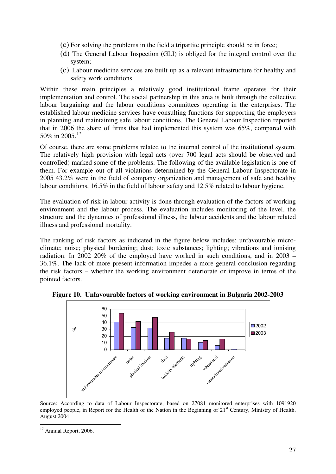- (c) For solving the problems in the field a tripartite principle should be in force;
- (d) The General Labour Inspection (GLI) is obliged for the integral control over the system;
- (e) Labour medicine services are built up as a relevant infrastructure for healthy and safety work conditions.

Within these main principles a relatively good institutional frame operates for their implementation and control. The social partnership in this area is built through the collective labour bargaining and the labour conditions committees operating in the enterprises. The established labour medicine services have consulting functions for supporting the employers in planning and maintaining safe labour conditions. The General Labour Inspection reported that in 2006 the share of firms that had implemented this system was 65%, compared with 50% in 2005.<sup>17</sup>

Of course, there are some problems related to the internal control of the institutional system. The relatively high provision with legal acts (over 700 legal acts should be observed and controlled) marked some of the problems. The following of the available legislation is one of them. For example out of all violations determined by the General Labour Inspectorate in 2005 43.2% were in the field of company organization and management of safe and healthy labour conditions, 16.5% in the field of labour safety and 12.5% related to labour hygiene.

The evaluation of risk in labour activity is done through evaluation of the factors of working environment and the labour process. The evaluation includes monitoring of the level, the structure and the dynamics of professional illness, the labour accidents and the labour related illness and professional mortality.

The ranking of risk factors as indicated in the figure below includes: unfavourable microclimate; noise; physical burdening; dust; toxic substances; lighting; vibrations and ionising radiation. In 2002 20% of the employed have worked in such conditions, and in 2003 – 36.1%. The lack of more present information impedes a more general conclusion regarding the risk factors – whether the working environment deteriorate or improve in terms of the pointed factors.



**Figure 10. Unfavourable factors of working environment in Bulgaria 2002-2003** 

Source: According to data of Labour Inspectorate, based on 27081 monitored enterprises with 1091920 employed people, in Report for the Health of the Nation in the Beginning of 21<sup>st</sup> Century, Ministry of Health, August 2004

<sup>-</sup><sup>17</sup> Annual Report, 2006.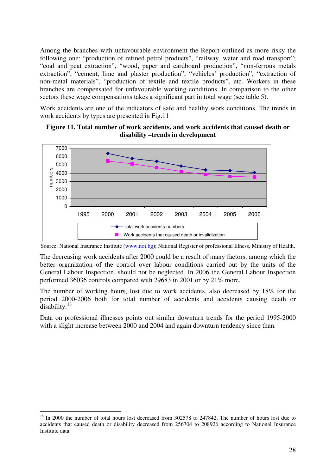Among the branches with unfavourable environment the Report outlined as more risky the following one: "production of refined petrol products", "railway, water and road transport"; "coal and peat extraction", "wood, paper and cardboard production", "non-ferrous metals extraction", "cement, lime and plaster production", "vehicles' production", "extraction of non-metal materials", "production of textile and textile products", etc. Workers in these branches are compensated for unfavourable working conditions. In comparison to the other sectors these wage compensations takes a significant part in total wage (see table 5).

Work accidents are one of the indicators of safe and healthy work conditions. The trends in work accidents by types are presented in Fig.11

#### **Figure 11. Total number of work accidents, and work accidents that caused death or disability –trends in development**



Source: National Insurance Institute (www.noi.bg); National Register of professional Illness, Ministry of Health.

The decreasing work accidents after 2000 could be a result of many factors, among which the better organization of the control over labour conditions carried out by the units of the General Labour Inspection, should not be neglected. In 2006 the General Labour Inspection performed 36036 controls compared with 29683 in 2001 or by 21% more.

The number of working hours, lost due to work accidents, also decreased by 18% for the period 2000-2006 both for total number of accidents and accidents causing death or disability.<sup>18</sup>

Data on professional illnesses points out similar downturn trends for the period 1995-2000 with a slight increase between 2000 and 2004 and again downturn tendency since than.

<u>.</u>

<sup>&</sup>lt;sup>18</sup> In 2000 the number of total hours lost decreased from 302578 to 247842. The number of hours lost due to accidents that caused death or disability decreased from 256704 to 208926 according to National Insurance Institute data.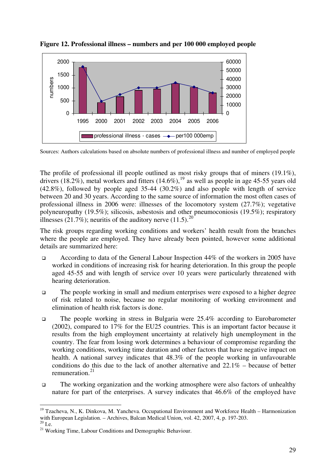

**Figure 12. Professional illness – numbers and per 100 000 employed people** 

Sources: Authors calculations based on absolute numbers of professional illness and number of employed people

The profile of professional ill people outlined as most risky groups that of miners (19.1%), drivers (18.2%), metal workers and fitters (14.6%), <sup>19</sup> as well as people in age 45-55 years old (42.8%), followed by people aged 35-44 (30.2%) and also people with length of service between 20 and 30 years. According to the same source of information the most often cases of professional illness in 2006 were: illnesses of the locomotory system (27.7%); vegetative polyneuropathy (19.5%); silicosis, asbestosis and other pneumoconiosis (19.5%); respiratory illnesses (21.7%); neuritis of the auditory nerve (11.5).<sup>20</sup>

The risk groups regarding working conditions and workers' health result from the branches where the people are employed. They have already been pointed, however some additional details are summarized here:

- According to data of the General Labour Inspection 44% of the workers in 2005 have worked in conditions of increasing risk for hearing deterioration. In this group the people aged 45-55 and with length of service over 10 years were particularly threatened with hearing deterioration.
- The people working in small and medium enterprises were exposed to a higher degree of risk related to noise, because no regular monitoring of working environment and elimination of health risk factors is done.
- The people working in stress in Bulgaria were 25.4% according to Eurobarometer (2002), compared to 17% for the EU25 countries. This is an important factor because it results from the high employment uncertainty at relatively high unemployment in the country. The fear from losing work determines a behaviour of compromise regarding the working conditions, working time duration and other factors that have negative impact on health. A national survey indicates that 48.3% of the people working in unfavourable conditions do this due to the lack of another alternative and 22.1% – because of better remuneration.<sup>21</sup>
- The working organization and the working atmosphere were also factors of unhealthy nature for part of the enterprises. A survey indicates that 46.6% of the employed have

<sup>-</sup><sup>19</sup> Tzacheva, N., K. Dinkova, M. Yancheva. Occupational Environment and Workforce Health – Harmonization with European Legislation. – Archives, Balcan Medical Union, vol. 42, 2007, 4, p. 197-203.  $20$  I.e.

<sup>&</sup>lt;sup>21</sup> Working Time, Labour Conditions and Demographic Behaviour.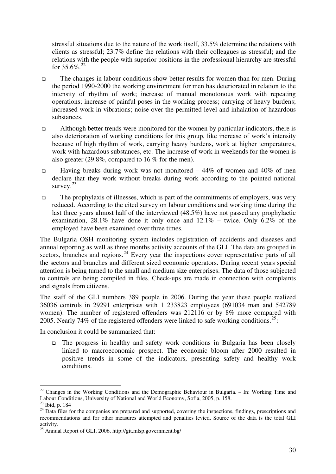stressful situations due to the nature of the work itself, 33.5% determine the relations with clients as stressful; 23.7% define the relations with their colleagues as stressful; and the relations with the people with superior positions in the professional hierarchy are stressful for  $35.6\%$ .<sup>22</sup>

- The changes in labour conditions show better results for women than for men. During the period 1990-2000 the working environment for men has deteriorated in relation to the intensity of rhythm of work; increase of manual monotonous work with repeating operations; increase of painful poses in the working process; carrying of heavy burdens; increased work in vibrations; noise over the permitted level and inhalation of hazardous substances.
- Although better trends were monitored for the women by particular indicators, there is also deterioration of working conditions for this group, like increase of work's intensity because of high rhythm of work, carrying heavy burdens, work at higher temperatures, work with hazardous substances, etc. The increase of work in weekends for the women is also greater (29.8%, compared to 16 % for the men).
- Having breaks during work was not monitored  $-44\%$  of women and  $40\%$  of men declare that they work without breaks during work according to the pointed national survey.<sup>23</sup>
- $\Box$  The prophylaxis of illnesses, which is part of the commitments of employers, was very reduced. According to the cited survey on labour conditions and working time during the last three years almost half of the interviewed (48.5%) have not passed any prophylactic examination, 28.1% have done it only once and  $12.1\%$  – twice. Only 6.2% of the employed have been examined over three times.

The Bulgaria OSH monitoring system includes registration of accidents and diseases and annual reporting as well as three months activity accounts of the GLI. The data are grouped in sectors, branches and regions.<sup>24</sup> Every year the inspections cover representative parts of all the sectors and branches and different sized economic operators. During recent years special attention is being turned to the small and medium size enterprises. The data of those subjected to controls are being compiled in files. Check-ups are made in connection with complaints and signals from citizens.

The staff of the GLI numbers 389 people in 2006. During the year these people realized 36036 controls in 29291 enterprises with 1 233823 employees (691034 man and 542789 women). The number of registered offenders was 212116 or by 8% more compared with 2005. Nearly 74% of the registered offenders were linked to safe working conditions.<sup>25</sup>:

In conclusion it could be summarized that:

 The progress in healthy and safety work conditions in Bulgaria has been closely linked to macroeconomic prospect. The economic bloom after 2000 resulted in positive trends in some of the indicators, presenting safety and healthy work conditions.

-

 $22$  Changes in the Working Conditions and the Demographic Behaviour in Bulgaria. – In: Working Time and Labour Conditions, University of National and World Economy, Sofia, 2005, p. 158.

<sup>23</sup> Ibid, p. 184

<sup>&</sup>lt;sup>24</sup> Data files for the companies are prepared and supported, covering the inspections, findings, prescriptions and recommendations and for other measures attempted and penalties levied. Source of the data is the total GLI activity.

 $^{25}$  Annual Report of GLI, 2006, http://git.mlsp.government.bg/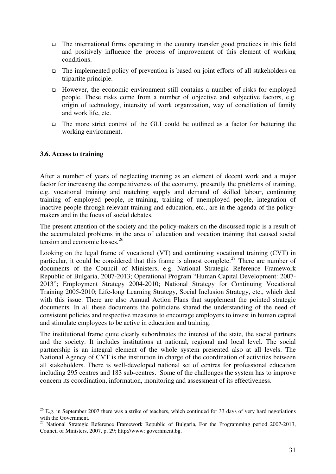- $\Box$  The international firms operating in the country transfer good practices in this field and positively influence the process of improvement of this element of working conditions.
- The implemented policy of prevention is based on joint efforts of all stakeholders on tripartite principle.
- However, the economic environment still contains a number of risks for employed people. These risks come from a number of objective and subjective factors, e.g. origin of technology, intensity of work organization, way of conciliation of family and work life, etc.
- The more strict control of the GLI could be outlined as a factor for bettering the working environment.

#### **3.6. Access to training**

After a number of years of neglecting training as an element of decent work and a major factor for increasing the competitiveness of the economy, presently the problems of training, e.g. vocational training and matching supply and demand of skilled labour, continuing training of employed people, re-training, training of unemployed people, integration of inactive people through relevant training and education, etc., are in the agenda of the policymakers and in the focus of social debates.

The present attention of the society and the policy-makers on the discussed topic is a result of the accumulated problems in the area of education and vocation training that caused social tension and economic losses.<sup>26</sup>

Looking on the legal frame of vocational (VT) and continuing vocational training (CVT) in particular, it could be considered that this frame is almost complete.<sup>27</sup> There are number of documents of the Council of Ministers, e.g. National Strategic Reference Framework Republic of Bulgaria, 2007-2013; Operational Program "Human Capital Development: 2007- 2013"; Employment Strategy 2004-2010; National Strategy for Continuing Vocational Training 2005-2010; Life-long Learning Strategy, Social Inclusion Strategy, etc., which deal with this issue. There are also Annual Action Plans that supplement the pointed strategic documents. In all these documents the politicians shared the understanding of the need of consistent policies and respective measures to encourage employers to invest in human capital and stimulate employees to be active in education and training.

The institutional frame quite clearly subordinates the interest of the state, the social partners and the society. It includes institutions at national, regional and local level. The social partnership is an integral element of the whole system presented also at all levels. The National Agency of CVT is the institution in charge of the coordination of activities between all stakeholders. There is well-developed national set of centres for professional education including 295 centres and 183 sub-centres. Some of the challenges the system has to improve concern its coordination, information, monitoring and assessment of its effectiveness.

<sup>-</sup> $26$  E.g. in September 2007 there was a strike of teachers, which continued for 33 days of very hard negotiations with the Government.

<sup>&</sup>lt;sup>27</sup> National Strategic Reference Framework Republic of Bulgaria, For the Programming period 2007-2013, Council of Ministers, 2007, p, 29; http://www: government.bg.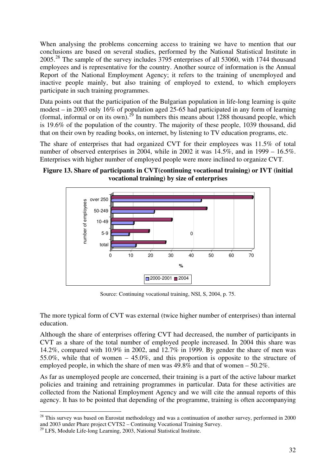When analysing the problems concerning access to training we have to mention that our conclusions are based on several studies, performed by the National Statistical Institute in 2005.<sup>28</sup> The sample of the survey includes 3795 enterprises of all 53060, with 1744 thousand employees and is representative for the country. Another source of information is the Annual Report of the National Employment Agency; it refers to the training of unemployed and inactive people mainly, but also training of employed to extend, to which employers participate in such training programmes.

Data points out that the participation of the Bulgarian population in life-long learning is quite modest – in 2003 only 16% of population aged 25-65 had participated in any form of learning (formal, informal or on its own).<sup>29</sup> In numbers this means about 1288 thousand people, which is 19.6% of the population of the country. The majority of these people, 1039 thousand, did that on their own by reading books, on internet, by listening to TV education programs, etc.

The share of enterprises that had organized CVT for their employees was 11.5% of total number of observed enterprises in 2004, while in 2002 it was 14.5%, and in 1999 – 16.5%. Enterprises with higher number of employed people were more inclined to organize CVT.

**Figure 13. Share of participants in CVT(continuing vocational training) or IVT (initial vocational training) by size of enterprises** 



Source: Continuing vocational training, NSI, S, 2004, p. 75.

The more typical form of CVT was external (twice higher number of enterprises) than internal education.

Although the share of enterprises offering CVT had decreased, the number of participants in CVT as a share of the total number of employed people increased. In 2004 this share was 14.2%, compared with 10.9% in 2002, and 12.7% in 1999. By gender the share of men was 55.0%, while that of women – 45.0%, and this proportion is opposite to the structure of employed people, in which the share of men was 49.8% and that of women – 50.2%.

As far as unemployed people are concerned, their training is a part of the active labour market policies and training and retraining programmes in particular. Data for these activities are collected from the National Employment Agency and we will cite the annual reports of this agency. It has to be pointed that depending of the programme, training is often accompanying

<u>.</u>

<sup>&</sup>lt;sup>28</sup> This survey was based on Eurostat methodology and was a continuation of another survey, performed in 2000 and 2003 under Phare project CVTS2 – Continuing Vocational Training Survey.

<sup>&</sup>lt;sup>29</sup> LFS, Module Life-long Learning, 2003, National Statistical Institute.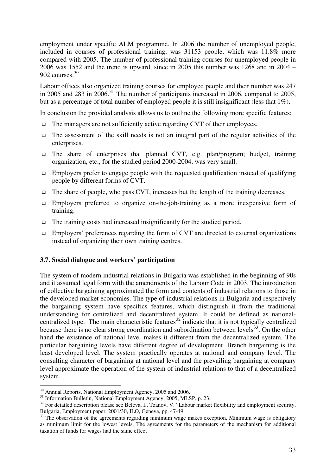employment under specific ALM programme. In 2006 the number of unemployed people, included in courses of professional training, was 31153 people, which was 11.8% more compared with 2005. The number of professional training courses for unemployed people in 2006 was 1552 and the trend is upward, since in 2005 this number was 1268 and in 2004 –  $902$  courses.  $30$ 

Labour offices also organized training courses for employed people and their number was 247 in 2005 and 283 in 2006.<sup>31</sup> The number of participants increased in 2006, compared to 2005, but as a percentage of total number of employed people it is still insignificant (less that 1%).

In conclusion the provided analysis allows us to outline the following more specific features:

- $\Box$  The managers are not sufficiently active regarding CVT of their employees.
- $\Box$  The assessment of the skill needs is not an integral part of the regular activities of the enterprises.
- The share of enterprises that planned CVT, e.g. plan/program; budget, training organization, etc., for the studied period 2000-2004, was very small.
- $\Box$  Employers prefer to engage people with the requested qualification instead of qualifying people by different forms of CVT.
- $\Box$  The share of people, who pass CVT, increases but the length of the training decreases.
- Employers preferred to organize on-the-job-training as a more inexpensive form of training.
- $\Box$  The training costs had increased insignificantly for the studied period.
- Employers' preferences regarding the form of CVT are directed to external organizations instead of organizing their own training centres.

#### **3.7. Social dialogue and workers' participation**

The system of modern industrial relations in Bulgaria was established in the beginning of 90s and it assumed legal form with the amendments of the Labour Code in 2003. The introduction of collective bargaining approximated the form and contents of industrial relations to those in the developed market economies. The type of industrial relations in Bulgaria and respectively the bargaining system have specifics features, which distinguish it from the traditional understanding for centralized and decentralized system. It could be defined as nationalcentralized type. The main characteristic features<sup>32</sup> indicate that it is not typically centralized because there is no clear strong coordination and subordination between levels $^{33}$ . On the other hand the existence of national level makes it different from the decentralized system. The particular bargaining levels have different degree of development. Branch bargaining is the least developed level. The system practically operates at national and company level. The consulting character of bargaining at national level and the prevailing bargaining at company level approximate the operation of the system of industrial relations to that of a decentralized system.

-

<sup>&</sup>lt;sup>30</sup> Annual Reports, National Employment Agency, 2005 and 2006.

<sup>&</sup>lt;sup>31</sup> Information Bulletin, National Employment Agency, 2005, MLSP, p. 23.

<sup>&</sup>lt;sup>32</sup> For detailed description please see Beleva, I., Tzanov, V. "Labour market flexibility and employment security, Bulgaria, Employment paper, 2001/30, ILO, Geneva, pp. 47-49.

<sup>&</sup>lt;sup>33</sup> The observation of the agreements regarding minimum wage makes exception. Minimum wage is obligatory as minimum limit for the lowest levels. The agreements for the parameters of the mechanism for additional taxation of funds for wages had the same effect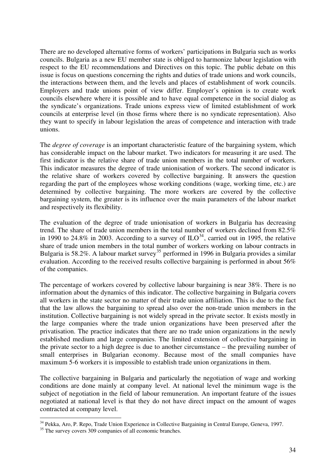There are no developed alternative forms of workers' participations in Bulgaria such as works councils. Bulgaria as a new EU member state is obliged to harmonize labour legislation with respect to the EU recommendations and Directives on this topic. The public debate on this issue is focus on questions concerning the rights and duties of trade unions and work councils, the interactions between them, and the levels and places of establishment of work councils. Employers and trade unions point of view differ. Employer's opinion is to create work councils elsewhere where it is possible and to have equal competence in the social dialog as the syndicate's organizations. Trade unions express view of limited establishment of work councils at enterprise level (in those firms where there is no syndicate representation). Also they want to specify in labour legislation the areas of competence and interaction with trade unions.

The *degree of coverage* is an important characteristic feature of the bargaining system, which has considerable impact on the labour market. Two indicators for measuring it are used. The first indicator is the relative share of trade union members in the total number of workers. This indicator measures the degree of trade unionisation of workers. The second indicator is the relative share of workers covered by collective bargaining. It answers the question regarding the part of the employees whose working conditions (wage, working time, etc.) are determined by collective bargaining. The more workers are covered by the collective bargaining system, the greater is its influence over the main parameters of the labour market and respectively its flexibility.

The evaluation of the degree of trade unionisation of workers in Bulgaria has decreasing trend. The share of trade union members in the total number of workers declined from 82.5% in 1990 to 24.8% in 2003. According to a survey of  $ILO^{34}$ , carried out in 1995, the relative share of trade union members in the total number of workers working on labour contracts in Bulgaria is 58.2%. A labour market survey<sup>35</sup> performed in 1996 in Bulgaria provides a similar evaluation. According to the received results collective bargaining is performed in about 56% of the companies.

The percentage of workers covered by collective labour bargaining is near 38%. There is no information about the dynamics of this indicator. The collective bargaining in Bulgaria covers all workers in the state sector no matter of their trade union affiliation. This is due to the fact that the law allows the bargaining to spread also over the non-trade union members in the institution. Collective bargaining is not widely spread in the private sector. It exists mostly in the large companies where the trade union organizations have been preserved after the privatisation. The practice indicates that there are no trade union organizations in the newly established medium and large companies. The limited extension of collective bargaining in the private sector to a high degree is due to another circumstance – the prevailing number of small enterprises in Bulgarian economy. Because most of the small companies have maximum 5-6 workers it is impossible to establish trade union organizations in them.

The collective bargaining in Bulgaria and particularly the negotiation of wage and working conditions are done mainly at company level. At national level the minimum wage is the subject of negotiation in the field of labour remuneration. An important feature of the issues negotiated at national level is that they do not have direct impact on the amount of wages contracted at company level.

-

<sup>&</sup>lt;sup>34</sup> Pekka, Aro, P. Repo, Trade Union Experience in Collective Bargaining in Central Europe, Geneva, 1997.

 $35$  The survey covers  $309$  companies of all economic branches.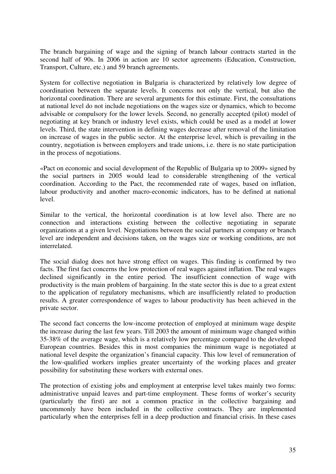The branch bargaining of wage and the signing of branch labour contracts started in the second half of 90s. In 2006 in action are 10 sector agreements (Education, Construction, Transport, Culture, etc.) and 59 branch agreements.

System for collective negotiation in Bulgaria is characterized by relatively low degree of coordination between the separate levels. It concerns not only the vertical, but also the horizontal coordination. There are several arguments for this estimate. First, the consultations at national level do not include negotiations on the wages size or dynamics, which to become advisable or compulsory for the lower levels. Second, no generally accepted (pilot) model of negotiating at key branch or industry level exists, which could be used as a model at lower levels. Third, the state intervention in defining wages decrease after removal of the limitation on increase of wages in the public sector. At the enterprise level, which is prevailing in the country, negotiation is between employers and trade unions, i.e. there is no state participation in the process of negotiations.

«Pact on economic and social development of the Republic of Bulgaria up to 2009» signed by the social partners in 2005 would lead to considerable strengthening of the vertical coordination. According to the Pact, the recommended rate of wages, based on inflation, labour productivity and another macro-economic indicators, has to be defined at national level.

Similar to the vertical, the horizontal coordination is at low level also. There are no connection and interactions existing between the collective negotiating in separate organizations at a given level. Negotiations between the social partners at company or branch level are independent and decisions taken, on the wages size or working conditions, are not interrelated.

The social dialog does not have strong effect on wages. This finding is confirmed by two facts. The first fact concerns the low protection of real wages against inflation. The real wages declined significantly in the entire period. The insufficient connection of wage with productivity is the main problem of bargaining. In the state sector this is due to a great extent to the application of regulatory mechanisms, which are insufficiently related to production results. A greater correspondence of wages to labour productivity has been achieved in the private sector.

The second fact concerns the low-income protection of employed at minimum wage despite the increase during the last few years. Till 2003 the amount of minimum wage changed within 35-38% of the average wage, which is a relatively low percentage compared to the developed European countries. Besides this in most companies the minimum wage is negotiated at national level despite the organization's financial capacity. This low level of remuneration of the low-qualified workers implies greater uncertainty of the working places and greater possibility for substituting these workers with external ones.

The protection of existing jobs and employment at enterprise level takes mainly two forms: administrative unpaid leaves and part-time employment. These forms of worker's security (particularly the first) are not a common practice in the collective bargaining and uncommonly have been included in the collective contracts. They are implemented particularly when the enterprises fell in a deep production and financial crisis. In these cases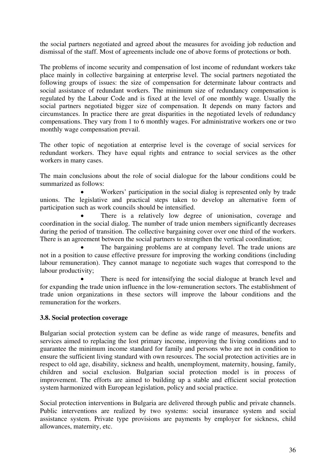the social partners negotiated and agreed about the measures for avoiding job reduction and dismissal of the staff. Most of agreements include one of above forms of protections or both.

The problems of income security and compensation of lost income of redundant workers take place mainly in collective bargaining at enterprise level. The social partners negotiated the following groups of issues: the size of compensation for determinate labour contracts and social assistance of redundant workers. The minimum size of redundancy compensation is regulated by the Labour Code and is fixed at the level of one monthly wage. Usually the social partners negotiated bigger size of compensation. It depends on many factors and circumstances. In practice there are great disparities in the negotiated levels of redundancy compensations. They vary from 1 to  $6$  monthly wages. For administrative workers one or two monthly wage compensation prevail.

The other topic of negotiation at enterprise level is the coverage of social services for redundant workers. They have equal rights and entrance to social services as the other workers in many cases.

The main conclusions about the role of social dialogue for the labour conditions could be summarized as follows:

Workers' participation in the social dialog is represented only by trade unions. The legislative and practical steps taken to develop an alternative form of participation such as work councils should be intensified.

There is a relatively low degree of unionisation, coverage and coordination in the social dialog. The number of trade union members significantly decreases during the period of transition. The collective bargaining cover over one third of the workers. There is an agreement between the social partners to strengthen the vertical coordination;

The bargaining problems are at company level. The trade unions are not in a position to cause effective pressure for improving the working conditions (including labour remuneration). They cannot manage to negotiate such wages that correspond to the labour productivity;

There is need for intensifying the social dialogue at branch level and for expanding the trade union influence in the low-remuneration sectors. The establishment of trade union organizations in these sectors will improve the labour conditions and the remuneration for the workers.

# **3.8. Social protection coverage**

Bulgarian social protection system can be define as wide range of measures, benefits and services aimed to replacing the lost primary income, improving the living conditions and to guarantee the minimum income standard for family and persons who are not in condition to ensure the sufficient living standard with own resources. The social protection activities are in respect to old age, disability, sickness and health, unemployment, maternity, housing, family, children and social exclusion. Bulgarian social protection model is in process of improvement. The efforts are aimed to building up a stable and efficient social protection system harmonized with European legislation, policy and social practice.

Social protection interventions in Bulgaria are delivered through public and private channels. Public interventions are realized by two systems: social insurance system and social assistance system. Private type provisions are payments by employer for sickness, child allowances, maternity, etc.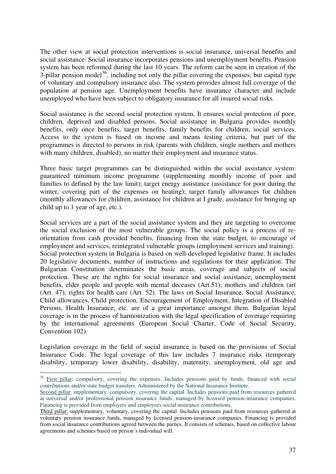The other view at social protection interventions is social insurance, universal benefits and social assistance. Social insurance incorporates pensions and unemployment benefits. Pension system has been reformed during the last 10 years. The reform can be seen in creation of the 3-pillar pension model<sup>36</sup>, including not only the pillar covering the expenses, but capital type of voluntary and compulsory insurance also. The system provides almost full coverage of the population at pension age. Unemployment benefits have insurance character and include unemployed who have been subject to obligatory insurance for all insured social risks.

Social assistance is the second social protection system. It ensures social protection of poor, children, deprived and disabled persons. Social assistance in Bulgaria provides monthly benefits, only once benefits, target benefits, family benefits for children, social services. Access to the system is based on income and means testing criteria, but part of the programmes is directed to persons in risk (parents with children, single mothers and mothers with many children, disabled), no matter their employment and insurance status.

Three basic target programmes can be distinguished within the social assistance system: guaranteed minimum income programme (supplementing monthly income of poor and families to defined by the law limit); target energy assistance (assistance for poor during the winter, covering part of the expenses on heating); target family allowances for children (monthly allowances for children, assistance for children at I grade, assistance for bringing up child up to 1 year of age, etc.).

Social services are a part of the social assistance system and they are targeting to overcome the social exclusion of the most vulnerable groups. The social policy is a process of reorientation from cash provided benefits, financing from the state budget, to encourage of employment and services, reintegrated vulnerable groups (employment services and training). Social protection system in Bulgaria is based on well-developed legislative frame. It includes 20 legislative documents, number of instructions and regulations for their application. The Bulgarian Constitution determinates the basic areas, coverage and subjects of social protection. These are the rights for social insurance and social assistance, unemployment benefits, elder people and people with mental deceases (Art.51); mothers and children (art (Art. 47); rights for health care (Art. 52). The laws on Social Insurance, Social Assistance, Child allowances, Child protection, Encouragement of Employment, Integration of Disabled Persons, Health Insurance, etc. are of a great importance amongst them. Bulgarian legal coverage is in the process of harmonization with the legal specification of coverage requiring by the international agreements (European Social Charter, Code of Social Security, Convention 102).

Legislation coverage in the field of social insurance is based on the provisions of Social Insurance Code. The legal coverage of this law includes 7 insurance risks (temporary disability, temporary lower disability, disability, maternity, unemployment, old age and

<u>.</u>

<sup>&</sup>lt;sup>36</sup> First pillar: compulsory, covering the expenses. Includes pensions paid by funds, financed with social contributions and/or state budget transfers. Administered by the National Insurance Institute.

Second pillar: supplementary, compulsory, covering the capital. Includes pensions paid from resources gathered at universal and/or professional pension insurance funds, managed by licensed pension-insurance companies. Financing is provided from employers and employees social insurance contributions.

Third pillar: supplementary, voluntary, covering the capital. Includes pensions paid from resources gathered at voluntary pension insurance funds, managed by licensed pension-insurance companies. Financing is provided from social insurance contributions agreed between the parties. It consists of schemes, based on collective labour agreements and schemes based on person's individual will.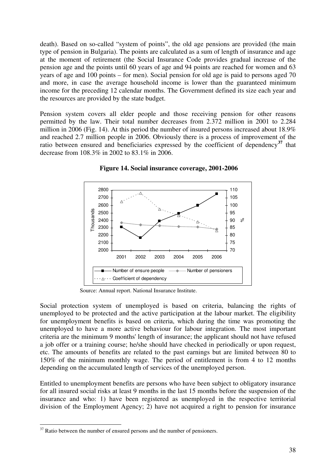death). Based on so-called "system of points", the old age pensions are provided (the main type of pension in Bulgaria). The points are calculated as a sum of length of insurance and age at the moment of retirement (the Social Insurance Code provides gradual increase of the pension age and the points until 60 years of age and 94 points are reached for women and 63 years of age and 100 points – for men). Social pension for old age is paid to persons aged 70 and more, in case the average household income is lower than the guaranteed minimum income for the preceding 12 calendar months. The Government defined its size each year and the resources are provided by the state budget.

Pension system covers all elder people and those receiving pension for other reasons permitted by the law. Their total number decreases from 2.372 million in 2001 to 2.284 million in 2006 (Fig. 14). At this period the number of insured persons increased about 18.9% and reached 2.7 million people in 2006. Obviously there is a process of improvement of the ratio between ensured and beneficiaries expressed by the coefficient of dependency**<sup>37</sup>** that decrease from 108.3% in 2002 to 83.1% in 2006.



 **Figure 14. Social insurance coverage, 2001-2006** 

Source: Annual report. National Insurance Institute.

Social protection system of unemployed is based on criteria, balancing the rights of unemployed to be protected and the active participation at the labour market. The eligibility for unemployment benefits is based on criteria, which during the time was promoting the unemployed to have a more active behaviour for labour integration. The most important criteria are the minimum 9 months' length of insurance; the applicant should not have refused a job offer or a training course; he/she should have checked in periodically or upon request, etc. The amounts of benefits are related to the past earnings but are limited between 80 to 150% of the minimum monthly wage. The period of entitlement is from 4 to 12 months depending on the accumulated length of services of the unemployed person.

Entitled to unemployment benefits are persons who have been subject to obligatory insurance for all insured social risks at least 9 months in the last 15 months before the suspension of the insurance and who: 1) have been registered as unemployed in the respective territorial division of the Employment Agency; 2) have not acquired a right to pension for insurance

 $37$  Ratio between the number of ensured persons and the number of pensioners.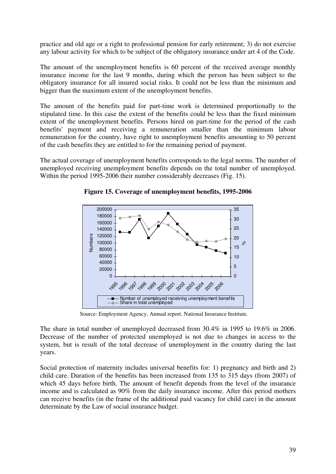practice and old age or a right to professional pension for early retirement; 3) do not exercise any labour activity for which to be subject of the obligatory insurance under art 4 of the Code.

The amount of the unemployment benefits is 60 percent of the received average monthly insurance income for the last 9 months, during which the person has been subject to the obligatory insurance for all insured social risks. It could not be less than the minimum and bigger than the maximum extent of the unemployment benefits.

The amount of the benefits paid for part-time work is determined proportionally to the stipulated time. In this case the extent of the benefits could be less than the fixed minimum extent of the unemployment benefits. Persons hired on part-time for the period of the cash benefits' payment and receiving a remuneration smaller than the minimum labour remuneration for the country, have right to unemployment benefits amounting to 50 percent of the cash benefits they are entitled to for the remaining period of payment.

The actual coverage of unemployment benefits corresponds to the legal norms. The number of unemployed receiving unemployment benefits depends on the total number of unemployed. Within the period 1995-2006 their number considerably decreases (Fig. 15).



**Figure 15. Coverage of unemployment benefits, 1995-2006** 

Source: Employment Agency, Annual report. National Insurance Institute.

The share in total number of unemployed decreased from 30.4% in 1995 to 19.6% in 2006. Decrease of the number of protected unemployed is not due to changes in access to the system, but is result of the total decrease of unemployment in the country during the last years.

Social protection of maternity includes universal benefits for: 1) pregnancy and birth and 2) child care. Duration of the benefits has been increased from 135 to 315 days (from 2007) of which 45 days before birth. The amount of benefit depends from the level of the insurance income and is calculated as 90% from the daily insurance income. After this period mothers can receive benefits (in the frame of the additional paid vacancy for child care) in the amount determinate by the Law of social insurance budget.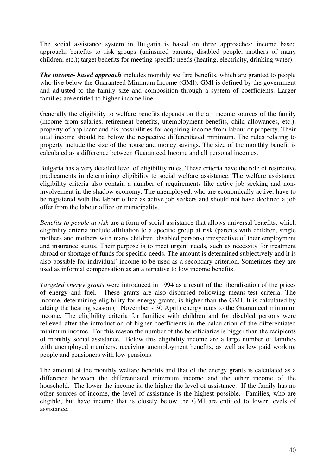The social assistance system in Bulgaria is based on three approaches: income based approach; benefits to risk groups (uninsured parents, disabled people, mothers of many children, etc.); target benefits for meeting specific needs (heating, electricity, drinking water).

*The income- based approach* includes monthly welfare benefits, which are granted to people who live below the Guaranteed Minimum Income (GMI). GMI is defined by the government and adjusted to the family size and composition through a system of coefficients. Larger families are entitled to higher income line.

Generally the eligibility to welfare benefits depends on the all income sources of the family (income from salaries, retirement benefits, unemployment benefits, child allowances, etc.), property of applicant and his possibilities for acquiring income from labour or property. Their total income should be below the respective differentiated minimum. The rules relating to property include the size of the house and money savings. The size of the monthly benefit is calculated as a difference between Guaranteed Income and all personal incomes.

Bulgaria has a very detailed level of eligibility rules. These criteria have the role of restrictive predicaments in determining eligibility to social welfare assistance. The welfare assistance eligibility criteria also contain a number of requirements like active job seeking and noninvolvement in the shadow economy. The unemployed, who are economically active, have to be registered with the labour office as active job seekers and should not have declined a job offer from the labour office or municipality.

*Benefits to people at risk* are a form of social assistance that allows universal benefits, which eligibility criteria include affiliation to a specific group at risk (parents with children, single mothers and mothers with many children, disabled persons) irrespective of their employment and insurance status. Their purpose is to meet urgent needs, such as necessity for treatment abroad or shortage of funds for specific needs. The amount is determined subjectively and it is also possible for individual' income to be used as a secondary criterion. Sometimes they are used as informal compensation as an alternative to low income benefits.

*Targeted energy grants* were introduced in 1994 as a result of the liberalisation of the prices of energy and fuel. These grants are also disbursed following means-test criteria. The income, determining eligibility for energy grants, is higher than the GMI. It is calculated by adding the heating season (1 November - 30 April) energy rates to the Guaranteed minimum income. The eligibility criteria for families with children and for disabled persons were relieved after the introduction of higher coefficients in the calculation of the differentiated minimum income. For this reason the number of the beneficiaries is bigger than the recipients of monthly social assistance. Below this eligibility income are a large number of families with unemployed members, receiving unemployment benefits, as well as low paid working people and pensioners with low pensions.

The amount of the monthly welfare benefits and that of the energy grants is calculated as a difference between the differentiated minimum income and the other income of the household. The lower the income is, the higher the level of assistance. If the family has no other sources of income, the level of assistance is the highest possible. Families, who are eligible, but have income that is closely below the GMI are entitled to lower levels of assistance.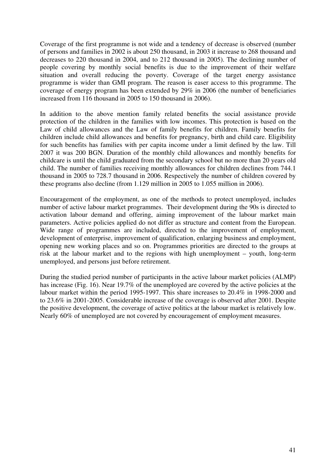Coverage of the first programme is not wide and a tendency of decrease is observed (number of persons and families in 2002 is about 250 thousand, in 2003 it increase to 268 thousand and decreases to 220 thousand in 2004, and to 212 thousand in 2005). The declining number of people covering by monthly social benefits is due to the improvement of their welfare situation and overall reducing the poverty. Coverage of the target energy assistance programme is wider than GMI program. The reason is easer access to this programme. The coverage of energy program has been extended by 29% in 2006 (the number of beneficiaries increased from 116 thousand in 2005 to 150 thousand in 2006).

In addition to the above mention family related benefits the social assistance provide protection of the children in the families with low incomes. This protection is based on the Law of child allowances and the Law of family benefits for children. Family benefits for children include child allowances and benefits for pregnancy, birth and child care. Eligibility for such benefits has families with per capita income under a limit defined by the law. Till 2007 it was 200 BGN. Duration of the monthly child allowances and monthly benefits for childcare is until the child graduated from the secondary school but no more than 20 years old child. The number of families receiving monthly allowances for children declines from 744.1 thousand in 2005 to 728.7 thousand in 2006. Respectively the number of children covered by these programs also decline (from 1.129 million in 2005 to 1.055 million in 2006).

Encouragement of the employment, as one of the methods to protect unemployed, includes number of active labour market programmes. Their development during the 90s is directed to activation labour demand and offering, aiming improvement of the labour market main parameters. Active policies applied do not differ as structure and content from the European. Wide range of programmes are included, directed to the improvement of employment, development of enterprise, improvement of qualification, enlarging business and employment, opening new working places and so on. Programmes priorities are directed to the groups at risk at the labour market and to the regions with high unemployment – youth, long-term unemployed, and persons just before retirement.

During the studied period number of participants in the active labour market policies (ALMP) has increase (Fig. 16). Near 19.7% of the unemployed are covered by the active policies at the labour market within the period 1995-1997. This share increases to 20.4% in 1998-2000 and to 23.6% in 2001-2005. Considerable increase of the coverage is observed after 2001. Despite the positive development, the coverage of active politics at the labour market is relatively low. Nearly 60% of unemployed are not covered by encouragement of employment measures.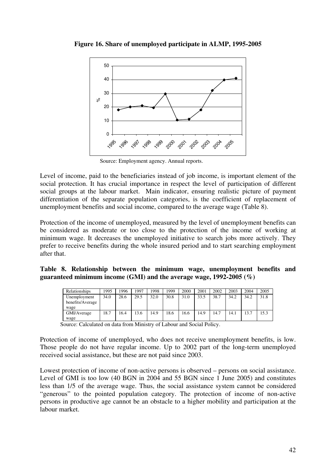



Source: Employment agency. Annual reports.

Level of income, paid to the beneficiaries instead of job income, is important element of the social protection. It has crucial importance in respect the level of participation of different social groups at the labour market. Main indicator, ensuring realistic picture of payment differentiation of the separate population categories, is the coefficient of replacement of unemployment benefits and social income, compared to the average wage (Table 8).

Protection of the income of unemployed, measured by the level of unemployment benefits can be considered as moderate or too close to the protection of the income of working at minimum wage. It decreases the unemployed initiative to search jobs more actively. They prefer to receive benefits during the whole insured period and to start searching employment after that.

**Table 8. Relationship between the minimum wage, unemployment benefits and guaranteed minimum income (GMI) and the average wage, 1992-2005 (%)** 

| Relationships    | 1995 | 1996 | 1997 | 1998 | 1999 | 2000 | 2001 | 2002 | 2003 | 2004 | 2005 |
|------------------|------|------|------|------|------|------|------|------|------|------|------|
| Unemployment     | 34.0 | 28.6 | 29.5 | 32.0 | 30.8 | 31.0 | 33.5 | 38.7 | 34.2 | 34.2 | 31.8 |
| benefits/Average |      |      |      |      |      |      |      |      |      |      |      |
| wage             |      |      |      |      |      |      |      |      |      |      |      |
| GMI/Average      | 18.7 | 6.4  | 13.6 | 14.9 | 18.6 | 16.6 | 14.9 | 14.7 | 14.1 | 13.7 | 15.3 |
| wage             |      |      |      |      |      |      |      |      |      |      |      |

Source: Calculated on data from Ministry of Labour and Social Policy.

Protection of income of unemployed, who does not receive unemployment benefits, is low. Those people do not have regular income. Up to 2002 part of the long-term unemployed received social assistance, but these are not paid since 2003.

Lowest protection of income of non-active persons is observed – persons on social assistance. Level of GMI is too low (40 BGN in 2004 and 55 BGN since 1 June 2005) and constitutes less than 1/5 of the average wage. Thus, the social assistance system cannot be considered "generous" to the pointed population category. The protection of income of non-active persons in productive age cannot be an obstacle to a higher mobility and participation at the labour market.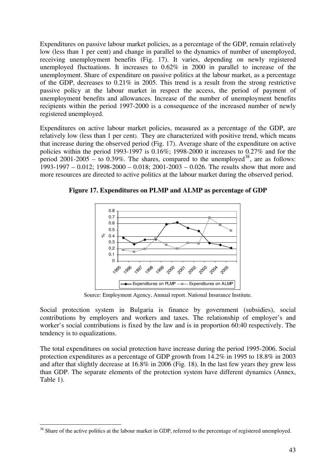Expenditures on passive labour market policies, as a percentage of the GDP, remain relatively low (less than 1 per cent) and change in parallel to the dynamics of number of unemployed, receiving unemployment benefits (Fig. 17). It varies, depending on newly registered unemployed fluctuations. It increases to 0.62% in 2000 in parallel to increase of the unemployment. Share of expenditure on passive politics at the labour market, as a percentage of the GDP, decreases to 0.21% in 2005. This trend is a result from the strong restrictive passive policy at the labour market in respect the access, the period of payment of unemployment benefits and allowances. Increase of the number of unemployment benefits recipients within the period 1997-2000 is a consequence of the increased number of newly registered unemployed.

Expenditures on active labour market policies, measured as a percentage of the GDP, are relatively low (less than 1 per cent). They are characterized with positive trend, which means that increase during the observed period (Fig. 17). Average share of the expenditure on active policies within the period 1993-1997 is  $0.16\%$ ; 1998-2000 it increases to  $0.27\%$  and for the period  $2001-2005 -$  to  $0.39\%$ . The shares, compared to the unemployed<sup>38</sup>, are as follows: 1993-1997 – 0.012; 1998-2000 – 0.018; 2001-2003 – 0.026. The results show that more and more resources are directed to active politics at the labour market during the observed period.

**Figure 17. Expenditures on PLMP and ALMP as percentage of GDP** 



Source: Employment Agency, Annual report. National Insurance Institute.

Social protection system in Bulgaria is finance by government (subsidies), social contributions by employers and workers and taxes. The relationship of employer's and worker's social contributions is fixed by the law and is in proportion 60:40 respectively. The tendency is to equalizations.

The total expenditures on social protection have increase during the period 1995-2006. Social protection expenditures as a percentage of GDP growth from 14.2% in 1995 to 18.8% in 2003 and after that slightly decrease at 16.8% in 2006 (Fig. 18). In the last few years they grew less than GDP. The separate elements of the protection system have different dynamics (Annex, Table 1).

<sup>-</sup> $38$  Share of the active politics at the labour market in GDP, referred to the percentage of registered unemployed.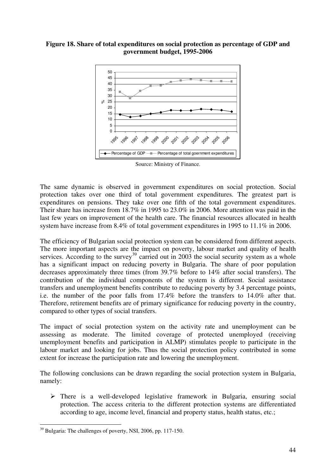#### **Figure 18. Share of total expenditures on social protection as percentage of GDP and government budget, 1995-2006**



Source: Ministry of Finance.

The same dynamic is observed in government expenditures on social protection. Social protection takes over one third of total government expenditures. The greatest part is expenditures on pensions. They take over one fifth of the total government expenditures. Their share has increase from 18.7% in 1995 to 23.0% in 2006. More attention was paid in the last few years on improvement of the health care. The financial resources allocated in health system have increase from 8.4% of total government expenditures in 1995 to 11.1% in 2006.

The efficiency of Bulgarian social protection system can be considered from different aspects. The more important aspects are the impact on poverty, labour market and quality of health services. According to the survey<sup>39</sup> carried out in 2003 the social security system as a whole has a significant impact on reducing poverty in Bulgaria. The share of poor population decreases approximately three times (from 39.7% before to 14% after social transfers). The contribution of the individual components of the system is different. Social assistance transfers and unemployment benefits contribute to reducing poverty by 3.4 percentage points, i.e. the number of the poor falls from 17.4% before the transfers to 14.0% after that. Therefore, retirement benefits are of primary significance for reducing poverty in the country, compared to other types of social transfers.

The impact of social protection system on the activity rate and unemployment can be assessing as moderate. The limited coverage of protected unemployed (receiving unemployment benefits and participation in ALMP) stimulates people to participate in the labour market and looking for jobs. Thus the social protection policy contributed in some extent for increase the participation rate and lowering the unemployment.

The following conclusions can be drawn regarding the social protection system in Bulgaria, namely:

 $\triangleright$  There is a well-developed legislative framework in Bulgaria, ensuring social protection. The access criteria to the different protection systems are differentiated according to age, income level, financial and property status, health status, etc.;

<sup>-</sup><sup>39</sup> Bulgaria: The challenges of poverty, NSI, 2006, pp. 117-150.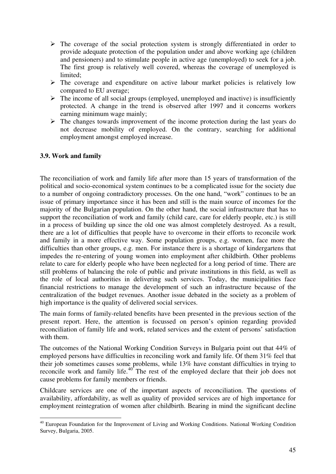- $\triangleright$  The coverage of the social protection system is strongly differentiated in order to provide adequate protection of the population under and above working age (children and pensioners) and to stimulate people in active age (unemployed) to seek for a job. The first group is relatively well covered, whereas the coverage of unemployed is limited;
- $\triangleright$  The coverage and expenditure on active labour market policies is relatively low compared to EU average;
- $\triangleright$  The income of all social groups (employed, unemployed and inactive) is insufficiently protected. A change in the trend is observed after 1997 and it concerns workers earning minimum wage mainly;
- $\triangleright$  The changes towards improvement of the income protection during the last years do not decrease mobility of employed. On the contrary, searching for additional employment amongst employed increase.

# **3.9. Work and family**

The reconciliation of work and family life after more than 15 years of transformation of the political and socio-economical system continues to be a complicated issue for the society due to a number of ongoing contradictory processes. On the one hand, "work" continues to be an issue of primary importance since it has been and still is the main source of incomes for the majority of the Bulgarian population. On the other hand, the social infrastructure that has to support the reconciliation of work and family (child care, care for elderly people, etc.) is still in a process of building up since the old one was almost completely destroyed. As a result, there are a lot of difficulties that people have to overcome in their efforts to reconcile work and family in a more effective way. Some population groups, e.g. women, face more the difficulties than other groups, e.g. men. For instance there is a shortage of kindergartens that impedes the re-entering of young women into employment after childbirth. Other problems relate to care for elderly people who have been neglected for a long period of time. There are still problems of balancing the role of public and private institutions in this field, as well as the role of local authorities in delivering such services. Today, the municipalities face financial restrictions to manage the development of such an infrastructure because of the centralization of the budget revenues. Another issue debated in the society as a problem of high importance is the quality of delivered social services.

The main forms of family-related benefits have been presented in the previous section of the present report. Here, the attention is focussed on person's opinion regarding provided reconciliation of family life and work, related services and the extent of persons' satisfaction with them.

The outcomes of the National Working Condition Surveys in Bulgaria point out that 44% of employed persons have difficulties in reconciling work and family life. Of them 31% feel that their job sometimes causes some problems, while 13% have constant difficulties in trying to reconcile work and family life. $40^{\circ}$  The rest of the employed declare that their job does not cause problems for family members or friends.

Childcare services are one of the important aspects of reconciliation. The questions of availability, affordability, as well as quality of provided services are of high importance for employment reintegration of women after childbirth. Bearing in mind the significant decline

<sup>-</sup><sup>40</sup> European Foundation for the Improvement of Living and Working Conditions. National Working Condition Survey, Bulgaria, 2005.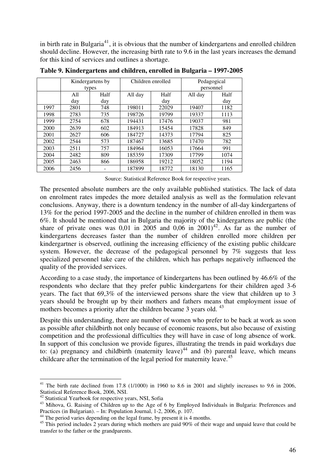in birth rate in Bulgaria<sup>41</sup>, it is obvious that the number of kindergartens and enrolled children should decline. However, the increasing birth rate to 9.6 in the last years increases the demand for this kind of services and outlines a shortage.

|       |      | Kindergartens by |         | Children enrolled | Pedagogical |      |  |
|-------|------|------------------|---------|-------------------|-------------|------|--|
| types |      |                  |         |                   | personnel   |      |  |
|       | All  | Half             | All day | Half              | All day     | Half |  |
|       | day  | day              |         | day               |             | day  |  |
| 1997  | 2801 | 748              | 198011  | 22029             | 19407       | 1182 |  |
| 1998  | 2783 | 735              | 198726  | 19799             | 19337       | 1113 |  |
| 1999  | 2754 | 678              | 194431  | 17476             | 19037       | 981  |  |
| 2000  | 2639 | 602              | 184913  | 15454             | 17828       | 849  |  |
| 2001  | 2627 | 606              | 184727  | 14373             | 17794       | 825  |  |
| 2002  | 2544 | 573              | 187467  | 13685             | 17470       | 782  |  |
| 2003  | 2511 | 757              | 184964  | 16053             | 17664       | 991  |  |
| 2004  | 2482 | 809              | 185359  | 17309             | 17799       | 1074 |  |
| 2005  | 2463 | 866              | 186958  | 19212             | 18052       | 1194 |  |
| 2006  | 2456 |                  | 187899  | 18772             | 18130       | 1165 |  |

**Table 9. Kindergartens and children, enrolled in Bulgaria – 1997-2005** 

Source: Statistical Reference Book for respective years.

The presented absolute numbers are the only available published statistics. The lack of data on enrolment rates impedes the more detailed analysis as well as the formulation relevant conclusions. Anyway, there is a downturn tendency in the number of all-day kindergartens of 13% for the period 1997-2005 and the decline in the number of children enrolled in them was 6%. It should be mentioned that in Bulgaria the majority of the kindergartens are public (the share of private ones was 0,01 in 2005 and 0,06 in 2001)<sup>42</sup>. As far as the number of kindergartens decreases faster than the number of children enrolled more children per kindergartner is observed, outlining the increasing efficiency of the existing public childcare system. However, the decrease of the pedagogical personnel by 7% suggests that less specialized personnel take care of the children, which has perhaps negatively influenced the quality of the provided services.

According to a case study, the importance of kindergartens has been outlined by 46.6% of the respondents who declare that they prefer public kindergartens for their children aged 3-6 years. The fact that 69,3% of the interviewed persons share the view that children up to 3 years should be brought up by their mothers and fathers means that employment issue of mothers becomes a priority after the children became 3 years old. <sup>43</sup>

Despite this understanding, there are number of women who prefer to be back at work as soon as possible after childbirth not only because of economic reasons, but also because of existing competition and the professional difficulties they will have in case of long absence of work. In support of this conclusion we provide figures, illustrating the trends in paid workdays due to: (a) pregnancy and childbirth (maternity leave)<sup>44</sup> and (b) parental leave, which means childcare after the termination of the legal period for maternity leave.<sup>45</sup>

<sup>-</sup> $41$  The birth rate declined from 17.8 (1/1000) in 1960 to 8.6 in 2001 and slightly increases to 9.6 in 2006, Statistical Reference Book, 2006, NSI.

<sup>42</sup> Statistical Yearbook for respective years, NSI, Sofia

<sup>&</sup>lt;sup>43</sup> Mihova, G. Raising of Children up to the Age of 6 by Employed Individuals in Bulgaria: Preferences and Practices (in Bulgarian). – In: Population Journal, 1-2, 2006, p. 107.

<sup>&</sup>lt;sup>44</sup> The period varies depending on the legal frame, by present it is 4 months.

<sup>&</sup>lt;sup>45</sup> This period includes 2 years during which mothers are paid 90% of their wage and unpaid leave that could be transfer to the father or the grandparents.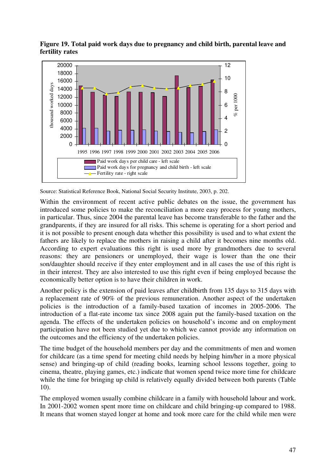

**Figure 19. Total paid work days due to pregnancy and child birth, parental leave and fertility rates** 

Within the environment of recent active public debates on the issue, the government has introduced some policies to make the reconciliation a more easy process for young mothers, in particular. Thus, since 2004 the parental leave has become transferable to the father and the grandparents, if they are insured for all risks. This scheme is operating for a short period and it is not possible to present enough data whether this possibility is used and to what extent the fathers are likely to replace the mothers in raising a child after it becomes nine months old. According to expert evaluations this right is used more by grandmothers due to several reasons: they are pensioners or unemployed, their wage is lower than the one their son/daughter should receive if they enter employment and in all cases the use of this right is in their interest. They are also interested to use this right even if being employed because the economically better option is to have their children in work.

Another policy is the extension of paid leaves after childbirth from 135 days to 315 days with a replacement rate of 90% of the previous remuneration. Another aspect of the undertaken policies is the introduction of a family-based taxation of incomes in 2005-2006. The introduction of a flat-rate income tax since 2008 again put the family-based taxation on the agenda. The effects of the undertaken policies on household's income and on employment participation have not been studied yet due to which we cannot provide any information on the outcomes and the efficiency of the undertaken policies.

The time budget of the household members per day and the commitments of men and women for childcare (as a time spend for meeting child needs by helping him/her in a more physical sense) and bringing-up of child (reading books, learning school lessons together, going to cinema, theatre, playing games, etc.) indicate that women spend twice more time for childcare while the time for bringing up child is relatively equally divided between both parents (Table 10).

The employed women usually combine childcare in a family with household labour and work. In 2001-2002 women spent more time on childcare and child bringing-up compared to 1988. It means that women stayed longer at home and took more care for the child while men were

Source: Statistical Reference Book, National Social Security Institute, 2003, p. 202.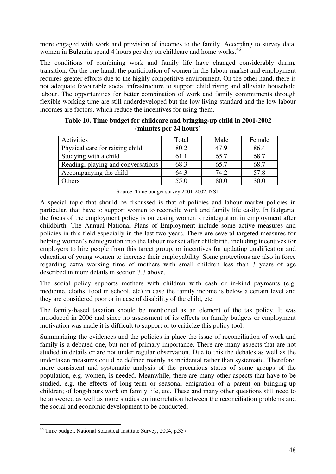more engaged with work and provision of incomes to the family. According to survey data, women in Bulgaria spend 4 hours per day on childcare and home works.<sup>46</sup>

The conditions of combining work and family life have changed considerably during transition. On the one hand, the participation of women in the labour market and employment requires greater efforts due to the highly competitive environment. On the other hand, there is not adequate favourable social infrastructure to support child rising and alleviate household labour. The opportunities for better combination of work and family commitments through flexible working time are still underdeveloped but the low living standard and the low labour incomes are factors, which reduce the incentives for using them.

| Activities                         | Total | Male | Female |
|------------------------------------|-------|------|--------|
| Physical care for raising child    | 80.2  | 47.9 | 86.4   |
| Studying with a child              | 61.1  | 65.7 | 68.7   |
| Reading, playing and conversations | 68.3  | 65.7 | 68.7   |
| Accompanying the child             | 64.3  | 74.2 | 57.8   |
| Others                             | 55.0  | 80.0 | 30.0   |

| Table 10. Time budget for childcare and bringing-up child in 2001-2002 |
|------------------------------------------------------------------------|
| (minutes per 24 hours)                                                 |

Source: Time budget survey 2001-2002, NSI.

A special topic that should be discussed is that of policies and labour market policies in particular, that have to support women to reconcile work and family life easily. In Bulgaria, the focus of the employment policy is on easing women's reintegration in employment after childbirth. The Annual National Plans of Employment include some active measures and policies in this field especially in the last two years. There are several targeted measures for helping women's reintegration into the labour market after childbirth, including incentives for employers to hire people from this target group, or incentives for updating qualification and education of young women to increase their employability. Some protections are also in force regarding extra working time of mothers with small children less than 3 years of age described in more details in section 3.3 above.

The social policy supports mothers with children with cash or in-kind payments (e.g. medicine, cloths, food in school, etc) in case the family income is below a certain level and they are considered poor or in case of disability of the child, etc.

The family-based taxation should be mentioned as an element of the tax policy. It was introduced in 2006 and since no assessment of its effects on family budgets or employment motivation was made it is difficult to support or to criticize this policy tool.

Summarizing the evidences and the policies in place the issue of reconciliation of work and family is a debated one, but not of primary importance. There are many aspects that are not studied in details or are not under regular observation. Due to this the debates as well as the undertaken measures could be defined mainly as incidental rather than systematic. Therefore, more consistent and systematic analysis of the precarious status of some groups of the population, e.g. women, is needed. Meanwhile, there are many other aspects that have to be studied, e.g. the effects of long-term or seasonal emigration of a parent on bringing-up children; of long-hours work on family life, etc. These and many other questions still need to be answered as well as more studies on interrelation between the reconciliation problems and the social and economic development to be conducted.

<sup>-</sup><sup>46</sup> Time budget, National Statistical Institute Survey, 2004, p.357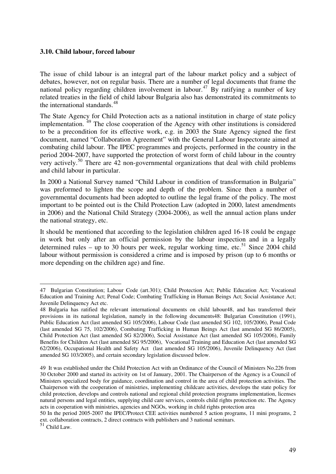#### **3.10. Child labour, forced labour**

The issue of child labour is an integral part of the labour market policy and a subject of debates, however, not on regular basis. There are a number of legal documents that frame the national policy regarding children involvement in labour.<sup>47</sup> By ratifying a number of key related treaties in the field of child labour Bulgaria also has demonstrated its commitments to the international standards.<sup>48</sup>

The State Agency for Child Protection acts as a national institution in charge of state policy implementation.<sup>49</sup> The close cooperation of the Agency with other institutions is considered to be a precondition for its effective work, e.g. in 2003 the State Agency signed the first document, named "Collaboration Agreement" with the General Labour Inspectorate aimed at combating child labour. The IPEC programmes and projects, performed in the country in the period 2004-2007, have supported the protection of worst form of child labour in the country very actively.<sup>50</sup> There are 42 non-governmental organizations that deal with child problems and child labour in particular.

In 2000 a National Survey named "Child Labour in condition of transformation in Bulgaria" was preformed to lighten the scope and depth of the problem. Since then a number of governmental documents had been adopted to outline the legal frame of the policy. The most important to be pointed out is the Child Protection Law (adopted in 2000, latest amendments in 2006) and the National Child Strategy (2004-2006), as well the annual action plans under the national strategy, etc.

It should be mentioned that according to the legislation children aged 16-18 could be engage in work but only after an official permission by the labour inspection and in a legally determined rules – up to 30 hours per week, regular working time, etc.<sup>51</sup> Since 2004 child labour without permission is considered a crime and is imposed by prison (up to 6 months or more depending on the children age) and fine.

<sup>&</sup>lt;u>.</u> 47 Bulgarian Constitution; Labour Code (art.301); Child Protection Act; Public Education Act; Vocational Education and Training Act; Penal Code; Combating Trafficking in Human Beings Act; Social Assistance Act; Juvenile Delinquency Act etc.

<sup>48</sup> Bulgaria has ratified the relevant international documents on child labour48, and has transferred their provisions in its national legislation, namely in the following documents48: Bulgarian Constitution (1991), Public Education Act (last amended SG 105/2006), Labour Code (last amended SG 102, 105/2006), Penal Code (last amended SG 75, 102/2006), Combating Trafficking in Human Beings Act (last amended SG 86/2005), Child Protection Act (last amended SG 82/2006), Social Assistance Act (last amended SG 105/2006), Family Benefits for Children Act (last amended SG 95/2006), Vocational Training and Education Act (last amended SG 62/2006), Occupational Health and Safety Act (last amended SG 105/2006), Juvenile Delinquency Act (last amended SG 103/2005), and certain secondary legislation discussed below.

<sup>49</sup> It was established under the Child Protection Act with an Ordinance of the Council of Ministers No.226 from 30 October 2000 and started its activity on 1st of January, 2001. The Chairperson of the Agency is a Council of Ministers specialized body for guidance, coordination and control in the area of child protection activities. The Chairperson with the cooperation of ministries, implementing childcare activities, develops the state policy for child protection, develops and controls national and regional child protection programs implementation, licenses natural persons and legal entities, supplying child care services, controls child rights protection etc. The Agency acts in cooperation with ministries, agencies and NGOs, working in child rights protection area

<sup>50</sup> In the period 2005-2007 the IPEC/Protect CEE activities numbered 5 action programs, 11 mini programs, 2 ext. collaboration contracts, 2 direct contracts with publishers and 3 national seminars.

 $51$  Child Law.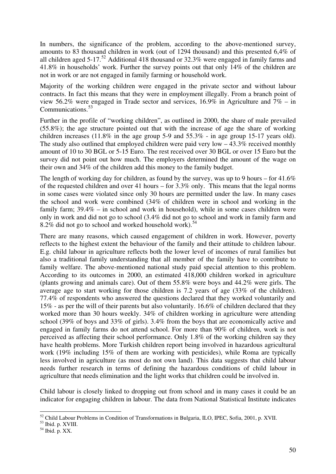In numbers, the significance of the problem, according to the above-mentioned survey, amounts to 83 thousand children in work (out of 1294 thousand) and this presented 6,4% of all children aged  $5-17^{52}$  Additional 418 thousand or 32.3% were engaged in family farms and 41.8% in households' work. Further the survey points out that only 14% of the children are not in work or are not engaged in family farming or household work.

Majority of the working children were engaged in the private sector and without labour contracts. In fact this means that they were in employment illegally. From a branch point of view 56.2% were engaged in Trade sector and services, 16.9% in Agriculture and 7% – in Communications.<sup>53</sup>

Further in the profile of "working children", as outlined in 2000, the share of male prevailed (55.8%); the age structure pointed out that with the increase of age the share of working children increases (11.8% in the age group 5-9 and 55.3% - in age group 15-17 years old). The study also outlined that employed children were paid very low  $-43.3\%$  received monthly amount of 10 to 30 BGL or 5-15 Euro. The rest received over 30 BGL or over 15 Euro but the survey did not point out how much. The employers determined the amount of the wage on their own and 34% of the children add this money to the family budget.

The length of working day for children, as found by the survey, was up to 9 hours – for 41.6% of the requested children and over 41 hours – for 3.3% only. This means that the legal norms in some cases were violated since only 30 hours are permitted under the law. In many cases the school and work were combined (34% of children were in school and working in the family farm; 39.4% – in school and work in household), while in some cases children were only in work and did not go to school (3.4% did not go to school and work in family farm and 8.2% did not go to school and worked household work).<sup>54</sup>

There are many reasons, which caused engagement of children in work. However, poverty reflects to the highest extent the behaviour of the family and their attitude to children labour. E.g. child labour in agriculture reflects both the lower level of incomes of rural families but also a traditional family understanding that all member of the family have to contribute to family welfare. The above-mentioned national study paid special attention to this problem. According to its outcomes in 2000, an estimated 418,000 children worked in agriculture (plants growing and animals care). Out of them 55.8% were boys and 44.2% were girls. The average age to start working for those children is 7.2 years of age (33% of the children). 77.4% of respondents who answered the questions declared that they worked voluntarily and 15% - as per the will of their parents but also voluntarily. 16.6% of children declared that they worked more than 30 hours weekly. 34% of children working in agriculture were attending school (39% of boys and 33% of girls). 3.4% from the boys that are economically active and engaged in family farms do not attend school. For more than 90% of children, work is not perceived as affecting their school performance. Only 1.8% of the working children say they have health problems. More Turkish children report being involved in hazardous agricultural work (19% including 15% of them are working with pesticides), while Roma are typically less involved in agriculture (as most do not own land). This data suggests that child labour needs further research in terms of defining the hazardous conditions of child labour in agriculture that needs elimination and the light works that children could be involved in.

Child labour is closely linked to dropping out from school and in many cases it could be an indicator for engaging children in labour. The data from National Statistical Institute indicates

<u>.</u>

<sup>&</sup>lt;sup>52</sup> Child Labour Problems in Condition of Transformations in Bulgaria, ILO, IPEC, Sofia, 2001, p. XVII.

<sup>53</sup> Ibid. p. XVIII.

 $54$  Ibid. p. XX.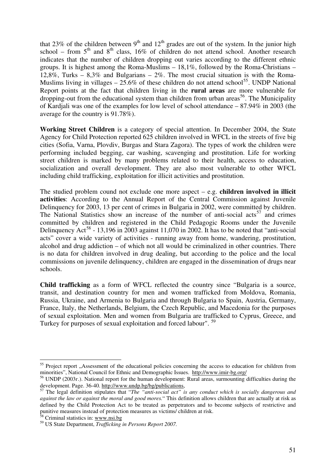that 23% of the children between  $9<sup>th</sup>$  and  $12<sup>th</sup>$  grades are out of the system. In the junior high school – from  $5<sup>th</sup>$  and  $8<sup>th</sup>$  class, 16% of children do not attend school. Another research indicates that the number of children dropping out varies according to the different ethnic groups. It is highest among the Roma-Muslims – 18,1%, followed by the Roma-Christians – 12,8%, Turks –  $8,3\%$  and Bulgarians –  $2\%$ . The most crucial situation is with the Roma-Muslims living in villages –  $25.6\%$  of these children do not attend school<sup>55</sup>. UNDP National Report points at the fact that children living in the **rural areas** are more vulnerable for dropping-out from the educational system than children from urban areas<sup>56</sup>. The Municipality of Kardjali was one of the examples for low level of school attendance – 87.94% in 2003 (the average for the country is 91.78%).

**Working Street Children** is a category of special attention. In December 2004, the State Agency for Child Protection reported 625 children involved in WFCL in the streets of five big cities (Sofia, Varna, Plovdiv, Burgas and Stara Zagora). The types of work the children were performing included begging, car washing, scavenging and prostitution. Life for working street children is marked by many problems related to their health, access to education, socialization and overall development. They are also most vulnerable to other WFCL including child trafficking, exploitation for illicit activities and prostitution.

The studied problem cound not exclude one more aspect – e.g. **children involved in illicit activities**: According to the Annual Report of the Central Commission against Juvenile Delinquency for 2003, 13 per cent of crimes in Bulgaria in 2002, were committed by children. The National Statistics show an increase of the number of anti-social acts<sup>57</sup> and crimes committed by children and registered in the Child Pedagogic Rooms under the Juvenile Delinquency Act<sup>58</sup> - 13,196 in 2003 against 11,070 in 2002. It has to be noted that "anti-social" acts" cover a wide variety of activities - running away from home, wandering, prostitution, alcohol and drug addiction – of which not all would be criminalized in other countries. There is no data for children involved in drug dealing, but according to the police and the local commissions on juvenile delinquency, children are engaged in the dissemination of drugs near schools.

**Child trafficking** as a form of WFCL reflected the country since "Bulgaria is a source, transit, and destination country for men and women trafficked from Moldova, Romania, Russia, Ukraine, and Armenia to Bulgaria and through Bulgaria to Spain, Austria, Germany, France, Italy, the Netherlands, Belgium, the Czech Republic, and Macedonia for the purposes of sexual exploitation. Men and women from Bulgaria are trafficked to Cyprus, Greece, and Turkey for purposes of sexual exploitation and forced labour". <sup>59</sup>

<sup>&</sup>lt;sup>55</sup> Project report "Assessment of the educational policies concerning the access to education for children from minorities", National Council for Ethnic and Demographic Issues. http://www.imir-bg.org/

<sup>56</sup> UNDP (2003г.). National report for the human development: Rural areas, surmounting difficulties during the development. Page. 36-40. http://www.undp.bg/bg/publications,

<sup>57</sup> The legal definition stipulates that "*The "anti-social act" is any conduct which is socially dangerous and against the law or against the moral and good mores.*" This definition allows children that are actually at risk as defined by the Child Protection Act to be treated as perpetrators and to become subjects of restrictive and punitive measures instead of protection measures as victims/ children at risk.

<sup>&</sup>lt;sup>58</sup> Criminal statistics in: www.nsi.bg

<sup>59</sup> US State Department, *Trafficking in Persons Report 2007.*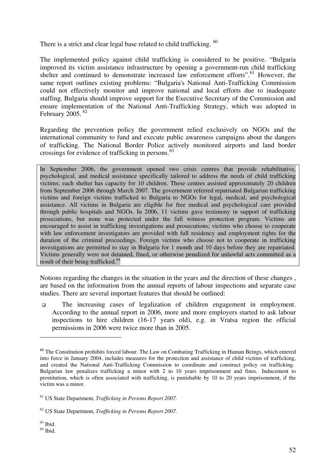There is a strict and clear legal base related to child trafficking. <sup>60</sup>

The implemented policy against child trafficking is considered to be positive. "Bulgaria improved its victim assistance infrastructure by opening a government-run child trafficking shelter and continued to demonstrate increased law enforcement efforts".<sup>61</sup> However, the same report outlines existing problems: "Bulgaria's National Anti-Trafficking Commission could not effectively monitor and improve national and local efforts due to inadequate staffing. Bulgaria should improve support for the Executive Secretary of the Commission and ensure implementation of the National Anti-Trafficking Strategy, which was adopted in February 2005. <sup>62</sup>

Regarding the prevention policy the government relied exclusively on NGOs and the international community to fund and execute public awareness campaigns about the dangers of trafficking. The National Border Police actively monitored airports and land border crossings for evidence of trafficking in persons.<sup>63</sup>

In September 2006, the government opened two crisis centres that provide rehabilitative, psychological, and medical assistance specifically tailored to address the needs of child trafficking victims; each shelter has capacity for 10 children. These centres assisted approximately 20 children from September 2006 through March 2007. The government referred repatriated Bulgarian trafficking victims and foreign victims trafficked to Bulgaria to NGOs for legal, medical, and psychological assistance. All victims in Bulgaria are eligible for free medical and psychological care provided through public hospitals and NGOs. In 2006, 11 victims gave testimony in support of trafficking prosecutions, but none was protected under the full witness protection program. Victims are encouraged to assist in trafficking investigations and prosecutions; victims who choose to cooperate with law enforcement investigators are provided with full residency and employment rights for the duration of the criminal proceedings. Foreign victims who choose not to cooperate in trafficking investigations are permitted to stay in Bulgaria for 1 month and 10 days before they are repatriated. Victims generally were not detained, fined, or otherwise penalized for unlawful acts committed as a result of their being trafficked.<sup>64</sup>

Notions regarding the changes in the situation in the years and the direction of these changes , are based on the information from the annual reports of labour inspections and separate case studies. There are several important features that should be outlined:

 The increasing cases of legalization of children engagement in employment. According to the annual report in 2006, more and more employers started to ask labour inspections to hire children (16-17 years old), e.g. in Vratsa region the official permissions in 2006 were twice more than in 2005.

 $63$  Ibid.

<sup>&</sup>lt;sup>60</sup> The Constitution prohibits forced labour. The Law on Combating Trafficking in Human Beings, which entered into force in January 2004, includes measures for the protection and assistance of child victims of trafficking, and created the National Anti-Trafficking Commission to coordinate and construct policy on trafficking. Bulgarian law penalizes trafficking a minor with 2 to 10 years imprisonment and fines. Inducement to prostitution, which is often associated with trafficking, is punishable by 10 to 20 years imprisonment, if the victim was a minor.

<sup>61</sup> US State Department, *Trafficking in Persons Report 2007.*

<sup>62</sup> US State Department, *Trafficking in Persons Report 2007.*

 $64$  Ibid.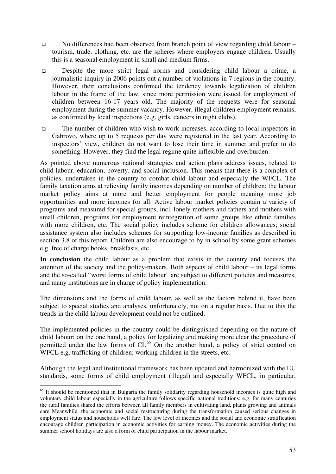- No differences had been observed from branch point of view regarding child labour tourism, trade, clothing, etc. are the spheres where employers engage children. Usually this is a seasonal employment in small and medium firms.
- Despite the more strict legal norms and considering child labour a crime, a journalistic inquiry in 2006 points out a number of violations in 7 regions in the country. However, their conclusions confirmed the tendency towards legalization of children labour in the frame of the law, since more permission were issued for employment of children between 16-17 years old. The majority of the requests were for seasonal employment during the summer vacancy. However, illegal children employment remains, as confirmed by local inspections (e.g. girls, dancers in night clubs).
- The number of children who wish to work increases, according to local inspectors in Gabrovo, where up to 5 requests per day were registered in the last year. According to inspectors' view, children do not want to lose their time in summer and prefer to do something. However, they find the legal regime quite inflexible and overburden.

As pointed above numerous national strategies and action plans address issues, related to child labour, education, poverty, and social inclusion. This means that there is a complex of policies, undertaken in the country to combat child labour and especially the WFCL. The family taxation aims at relieving family incomes depending on number of children; the labour market policy aims at more and better employment for people meaning more job opportunities and more incomes for all. Active labour market policies contain a variety of programs and measured for special groups, incl. lonely mothers and fathers and mothers with small children, programs for employment reintegration of some groups like ethnic families with more children, etc. The social policy includes scheme for children allowances; social assistance system also includes schemes for supporting low-income families as described in section 3.8 of this report. Children are also encourage to by in school by some grant schemes e.g. free of charge books, breakfasts, etc.

**In conclusion** the child labour as a problem that exists in the country and focuses the attention of the society and the policy-makers. Both aspects of child labour – its legal forms and the so-called "worst forms of child labour" are subject to different policies and measures, and many institutions are in charge of policy implementation.

The dimensions and the forms of child labour, as well as the factors behind it, have been subject to special studies and analyses, unfortunately, not on a regular basis. Due to this the trends in the child labour development could not be outlined.

The implemented policies in the country could be distinguished depending on the nature of child labour: on the one hand, a policy for legalizing and making more clear the procedure of permitted under the law forms of CL<sup>65</sup> On the another hand, a policy of strict control on WFCL e.g. trafficking of children; working children in the streets, etc.

Although the legal and institutional framework has been updated and harmonized with the EU standards, some forms of child employment (illegal) and especially WFCL, in particular,

<sup>&</sup>lt;sup>65</sup> It should be mentioned that in Bulgaria the family solidarity regarding household incomes is quite high and voluntary child labour especially in the agriculture follows specific national traditions: e.g. for many centuries the rural families shared the efforts between all family members in cultivating land, plants growing and animals care Meanwhile, the economic and social restructuring during the transformation caused serious changes in employment status and households well fare. The low level of incomes and the social and economic stratification encourage children participation in economic activities for earning money. The economic activities during the summer school holidays are also a form of child participation in the labour market.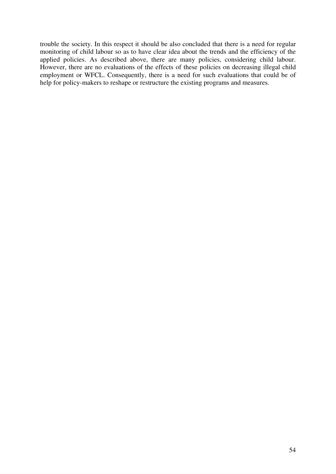trouble the society. In this respect it should be also concluded that there is a need for regular monitoring of child labour so as to have clear idea about the trends and the efficiency of the applied policies. As described above, there are many policies, considering child labour. However, there are no evaluations of the effects of these policies on decreasing illegal child employment or WFCL. Consequently, there is a need for such evaluations that could be of help for policy-makers to reshape or restructure the existing programs and measures.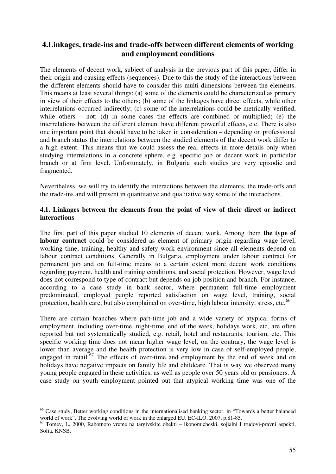# **4.Linkages, trade-ins and trade-offs between different elements of working and employment conditions**

The elements of decent work, subject of analysis in the previous part of this paper, differ in their origin and causing effects (sequences). Due to this the study of the interactions between the different elements should have to consider this multi-dimensions between the elements. This means at least several things: (a) some of the elements could be characterized as primary in view of their effects to the others; (b) some of the linkages have direct effects, while other interrelations occurred indirectly; (c) some of the interrelations could be metrically verified, while others – not; (d) in some cases the effects are combined or multiplied; (e) the interrelations between the different element have different powerful effects, etc. There is also one important point that should have to be taken in consideration – depending on professional and branch status the interrelations between the studied elements of the decent work differ to a high extent. This means that we could assess the real effects in more details only when studying interrelations in a concrete sphere, e.g. specific job or decent work in particular branch or at firm level. Unfortunately, in Bulgaria such studies are very episodic and fragmented.

Nevertheless, we will try to identify the interactions between the elements, the trade-offs and the trade-ins and will present in quantitative and qualitative way some of the interactions.

#### **4.1. Linkages between the elements from the point of view of their direct or indirect interactions**

The first part of this paper studied 10 elements of decent work. Among them **the type of labour contract** could be considered as element of primary origin regarding wage level, working time, training, healthy and safety work environment since all elements depend on labour contract conditions. Generally in Bulgaria, employment under labour contract for permanent job and on full-time means to a certain extent more decent work conditions regarding payment, health and training conditions, and social protection. However, wage level does not correspond to type of contract but depends on job position and branch. For instance, according to a case study in bank sector, where permanent full-time employment predominated, employed people reported satisfaction on wage level, training, social protection, health care, but also complained on over-time, high labour intensity, stress, etc.<sup>66</sup>

There are curtain branches where part-time job and a wide variety of atypical forms of employment, including over-time, night-time, end of the week, holidays work, etc, are often reported but not systematically studied, e.g. retail, hotel and restaurants, tourism, etc. This specific working time does not mean higher wage level, on the contrary, the wage level is lower than average and the health protection is very low in case of self-employed people, engaged in retail.<sup>67</sup> The effects of over-time and employment by the end of week and on holidays have negative impacts on family life and childcare. That is way we observed many young people engaged in these activities, as well as people over 50 years old or pensioners. A case study on youth employment pointed out that atypical working time was one of the

<sup>-</sup><sup>66</sup> Case study, Better working conditions in the internationalised banking sector, in "Towards a better balanced world of work", The evolving world of work in the enlarged EU, EC-ILO, 2007, p.81-85.

<sup>67</sup> Tomev, L. 2000, Rabotnoto vreme na targivskite obekti – ikonomicheski, sojialni I trudovi-pravni aspekti, Sofia, KNSB.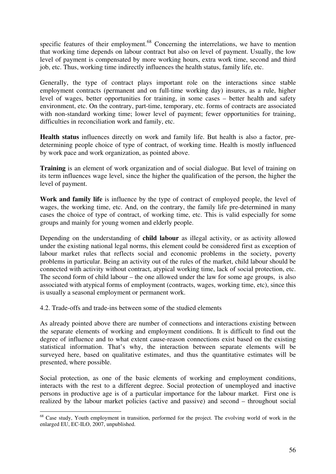specific features of their employment.<sup>68</sup> Concerning the interrelations, we have to mention that working time depends on labour contract but also on level of payment. Usually, the low level of payment is compensated by more working hours, extra work time, second and third job, etc. Thus, working time indirectly influences the health status, family life, etc.

Generally, the type of contract plays important role on the interactions since stable employment contracts (permanent and on full-time working day) insures, as a rule, higher level of wages, better opportunities for training, in some cases – better health and safety environment, etc. On the contrary, part-time, temporary, etc. forms of contracts are associated with non-standard working time; lower level of payment; fewer opportunities for training, difficulties in reconciliation work and family, etc.

**Health status** influences directly on work and family life. But health is also a factor, predetermining people choice of type of contract, of working time. Health is mostly influenced by work pace and work organization, as pointed above.

**Training** is an element of work organization and of social dialogue. But level of training on its term influences wage level, since the higher the qualification of the person, the higher the level of payment.

**Work and family life** is influence by the type of contract of employed people, the level of wages, the working time, etc. And, on the contrary, the family life pre-determined in many cases the choice of type of contract, of working time, etc. This is valid especially for some groups and mainly for young women and elderly people.

Depending on the understanding of **child labour** as illegal activity, or as activity allowed under the existing national legal norms, this element could be considered first as exception of labour market rules that reflects social and economic problems in the society, poverty problems in particular. Being an activity out of the rules of the market, child labour should be connected with activity without contract, atypical working time, lack of social protection, etc. The second form of child labour – the one allowed under the law for some age groups, is also associated with atypical forms of employment (contracts, wages, working time, etc), since this is usually a seasonal employment or permanent work.

4.2. Trade-offs and trade-ins between some of the studied elements

<u>.</u>

As already pointed above there are number of connections and interactions existing between the separate elements of working and employment conditions. It is difficult to find out the degree of influence and to what extent cause-reason connections exist based on the existing statistical information. That's why, the interaction between separate elements will be surveyed here, based on qualitative estimates, and thus the quantitative estimates will be presented, where possible.

Social protection, as one of the basic elements of working and employment conditions, interacts with the rest to a different degree. Social protection of unemployed and inactive persons in productive age is of a particular importance for the labour market. First one is realized by the labour market policies (active and passive) and second – throughout social

<sup>&</sup>lt;sup>68</sup> Case study, Youth employment in transition, performed for the project. The evolving world of work in the enlarged EU, EC-ILO, 2007, unpublished.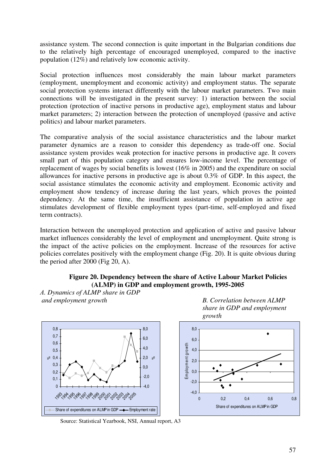assistance system. The second connection is quite important in the Bulgarian conditions due to the relatively high percentage of encouraged unemployed, compared to the inactive population (12%) and relatively low economic activity.

Social protection influences most considerably the main labour market parameters (employment, unemployment and economic activity) and employment status. The separate social protection systems interact differently with the labour market parameters. Two main connections will be investigated in the present survey: 1) interaction between the social protection (protection of inactive persons in productive age), employment status and labour market parameters; 2) interaction between the protection of unemployed (passive and active politics) and labour market parameters.

The comparative analysis of the social assistance characteristics and the labour market parameter dynamics are a reason to consider this dependency as trade-off one. Social assistance system provides weak protection for inactive persons in productive age. It covers small part of this population category and ensures low-income level. The percentage of replacement of wages by social benefits is lowest (16% in 2005) and the expenditure on social allowances for inactive persons in productive age is about 0.3% of GDP. In this aspect, the social assistance stimulates the economic activity and employment. Economic activity and employment show tendency of increase during the last years, which proves the pointed dependency. At the same time, the insufficient assistance of population in active age stimulates development of flexible employment types (part-time, self-employed and fixed term contracts).

Interaction between the unemployed protection and application of active and passive labour market influences considerably the level of employment and unemployment. Quite strong is the impact of the active policies on the employment. Increase of the resources for active policies correlates positively with the employment change (Fig. 20). It is quite obvious during the period after 2000 (Fig 20, A).

# **Figure 20. Dependency between the share of Active Labour Market Policies (ALMP) in GDP and employment growth, 1995-2005**

*А. Dynamics of ALMP share in GDP and employment growth* B. Correlation between ALMP

 $\overline{0}$  $0.1$  $0.2$ 0,3 0,4 %0,5 0,6 0,7 0,8

> 1993 **1994** 1992





Source: Statistical Yearbook, NSI, Annual report, A3

20a4<br>20a4  $\zeta_{Q_2}$ 

 $-4.0$  $-20$ 0,0 2,0 4,0 6,0 8,0

 $\mathcal{S}^{\circ}$ 

<sup>1</sup> *જ ( જ જ જ વર્ણ છે, જ વર્ણ* છે.

Share of expenditures on ALMP in GDP  $\longrightarrow$  Employment rate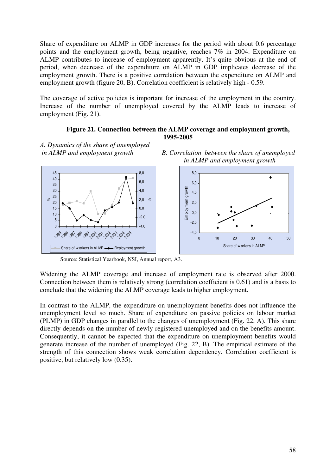Share of expenditure on ALMP in GDP increases for the period with about 0.6 percentage points and the employment growth, being negative, reaches 7% in 2004. Expenditure on ALMP contributes to increase of employment apparently. It's quite obvious at the end of period, when decrease of the expenditure on ALMP in GDP implicates decrease of the employment growth. There is a positive correlation between the expenditure on ALMP and employment growth (figure 20, B). Correlation coefficient is relatively high - 0.59.

The coverage of active policies is important for increase of the employment in the country. Increase of the number of unemployed covered by the ALMP leads to increase of employment (Fig. 21).

#### **Figure 21. Connection between the ALMP coverage and employment growth, 1995-2005**

*А. Dynamics of the share of unemployed* 



 *in ALMP and employment growth B. Correlation between the share of unemployed in ALMP and employment growth* 



Source: Statistical Yearbook, NSI, Annual report, A3.

Widening the ALMP coverage and increase of employment rate is observed after 2000. Connection between them is relatively strong (correlation coefficient is 0.61) and is a basis to conclude that the widening the ALMP coverage leads to higher employment.

In contrast to the ALMP, the expenditure on unemployment benefits does not influence the unemployment level so much. Share of expenditure on passive policies on labour market (PLMP) in GDP changes in parallel to the changes of unemployment (Fig. 22, А). This share directly depends on the number of newly registered unemployed and on the benefits amount. Consequently, it cannot be expected that the expenditure on unemployment benefits would generate increase of the number of unemployed (Fig. 22, B). The empirical estimate of the strength of this connection shows weak correlation dependency. Correlation coefficient is positive, but relatively low (0.35).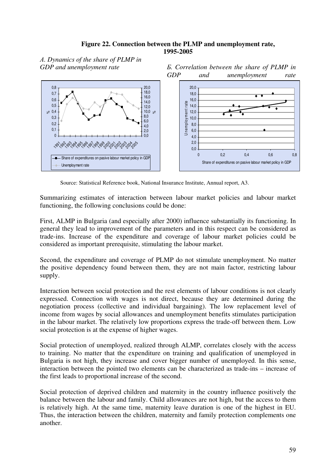#### **Figure 22. Connection between the PLMP and unemployment rate, 1995-2005**

*А. Dynamics of the share of PLMP in* 

*GDP and unemployment rate Б. Correlation between the share of PLMP in GDP and unemployment rate* 



Source: Statistical Reference book, National Insurance Institute, Annual report, A3.

Summarizing estimates of interaction between labour market policies and labour market functioning, the following conclusions could be done:

First, ALMP in Bulgaria (and especially after 2000) influence substantially its functioning. In general they lead to improvement of the parameters and in this respect can be considered as trade-ins. Increase of the expenditure and coverage of labour market policies could be considered as important prerequisite, stimulating the labour market.

Second, the expenditure and coverage of PLMP do not stimulate unemployment. No matter the positive dependency found between them, they are not main factor, restricting labour supply.

Interaction between social protection and the rest elements of labour conditions is not clearly expressed. Connection with wages is not direct, because they are determined during the negotiation process (collective and individual bargaining). The low replacement level of income from wages by social allowances and unemployment benefits stimulates participation in the labour market. The relatively low proportions express the trade-off between them. Low social protection is at the expense of higher wages.

Social protection of unemployed, realized through ALMP, correlates closely with the access to training. No matter that the expenditure on training and qualification of unemployed in Bulgaria is not high, they increase and cover bigger number of unemployed. In this sense, interaction between the pointed two elements can be characterized as trade-ins – increase of the first leads to proportional increase of the second.

Social protection of deprived children and maternity in the country influence positively the balance between the labour and family. Child allowances are not high, but the access to them is relatively high. At the same time, maternity leave duration is one of the highest in EU. Thus, the interaction between the children, maternity and family protection complements one another.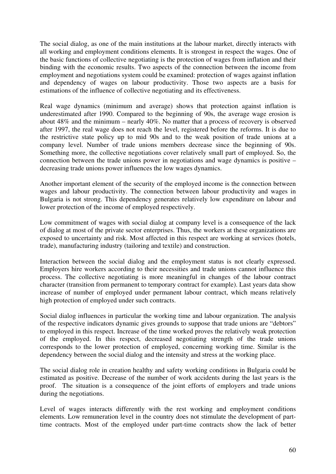The social dialog, as one of the main institutions at the labour market, directly interacts with all working and employment conditions elements. It is strongest in respect the wages. One of the basic functions of collective negotiating is the protection of wages from inflation and their binding with the economic results. Two aspects of the connection between the income from employment and negotiations system could be examined: protection of wages against inflation and dependency of wages on labour productivity. Those two aspects are a basis for estimations of the influence of collective negotiating and its effectiveness.

Real wage dynamics (minimum and average) shows that protection against inflation is underestimated after 1990. Compared to the beginning of 90s, the average wage erosion is about 48% and the minimum – nearly 40%. No matter that a process of recovery is observed after 1997, the real wage does not reach the level, registered before the reforms. It is due to the restrictive state policy up to mid 90s and to the weak position of trade unions at a company level. Number of trade unions members decrease since the beginning of 90s. Something more, the collective negotiations cover relatively small part of employed. So, the connection between the trade unions power in negotiations and wage dynamics is positive – decreasing trade unions power influences the low wages dynamics.

Another important element of the security of the employed income is the connection between wages and labour productivity. The connection between labour productivity and wages in Bulgaria is not strong. This dependency generates relatively low expenditure on labour and lower protection of the income of employed respectively.

Low commitment of wages with social dialog at company level is a consequence of the lack of dialog at most of the private sector enterprises. Thus, the workers at these organizations are exposed to uncertainty and risk. Most affected in this respect are working at services (hotels, trade), manufacturing industry (tailoring and textile) and construction.

Interaction between the social dialog and the employment status is not clearly expressed. Employers hire workers according to their necessities and trade unions cannot influence this process. The collective negotiating is more meaningful in changes of the labour contract character (transition from permanent to temporary contract for example). Last years data show increase of number of employed under permanent labour contract, which means relatively high protection of employed under such contracts.

Social dialog influences in particular the working time and labour organization. The analysis of the respective indicators dynamic gives grounds to suppose that trade unions are "debtors" to employed in this respect. Increase of the time worked proves the relatively weak protection of the employed. In this respect, decreased negotiating strength of the trade unions corresponds to the lower protection of employed, concerning working time. Similar is the dependency between the social dialog and the intensity and stress at the working place.

The social dialog role in creation healthy and safety working conditions in Bulgaria could be estimated as positive. Decrease of the number of work accidents during the last years is the proof. The situation is a consequence of the joint efforts of employers and trade unions during the negotiations.

Level of wages interacts differently with the rest working and employment conditions elements. Low remuneration level in the country does not stimulate the development of parttime contracts. Most of the employed under part-time contracts show the lack of better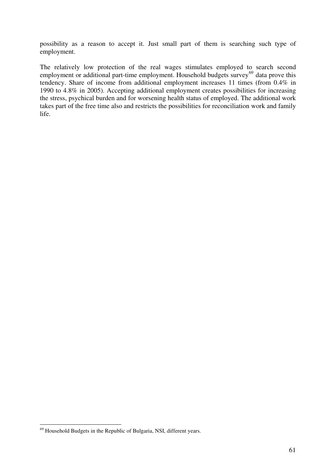possibility as a reason to accept it. Just small part of them is searching such type of employment.

The relatively low protection of the real wages stimulates employed to search second employment or additional part-time employment. Household budgets survey  $69$  data prove this tendency. Share of income from additional employment increases 11 times (from 0.4% in 1990 to 4.8% in 2005). Accepting additional employment creates possibilities for increasing the stress, psychical burden and for worsening health status of employed. The additional work takes part of the free time also and restricts the possibilities for reconciliation work and family life.

 $69$  Household Budgets in the Republic of Bulgaria, NSI, different years.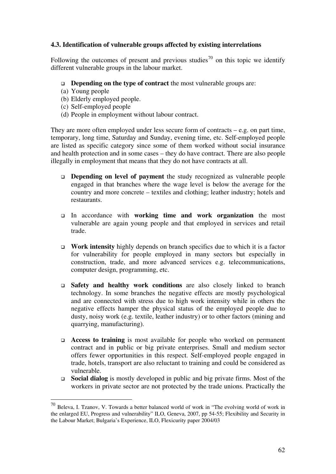# **4.3. Identification of vulnerable groups affected by existing interrelations**

Following the outcomes of present and previous studies<sup>70</sup> on this topic we identify different vulnerable groups in the labour market.

#### **Depending on the type of contract** the most vulnerable groups are:

(a) Young people

-

- (b) Elderly employed people.
- (c) Self-employed people
- (d) People in employment without labour contract.

They are more often employed under less secure form of contracts – e.g. on part time, temporary, long time, Saturday and Sunday, evening time, etc. Self-employed people are listed as specific category since some of them worked without social insurance and health protection and in some cases – they do have contract. There are also people illegally in employment that means that they do not have contracts at all.

- **Depending on level of payment** the study recognized as vulnerable people engaged in that branches where the wage level is below the average for the country and more concrete – textiles and clothing; leather industry; hotels and restaurants.
- In accordance with **working time and work organization** the most vulnerable are again young people and that employed in services and retail trade.
- **Work intensity** highly depends on branch specifics due to which it is a factor for vulnerability for people employed in many sectors but especially in construction, trade, and more advanced services e.g. telecommunications, computer design, programming, etc.
- **Safety and healthy work conditions** are also closely linked to branch technology. In some branches the negative effects are mostly psychological and are connected with stress due to high work intensity while in others the negative effects hamper the physical status of the employed people due to dusty, noisy work (e.g. textile, leather industry) or to other factors (mining and quarrying, manufacturing).
- **Access to training** is most available for people who worked on permanent contract and in public or big private enterprises. Small and medium sector offers fewer opportunities in this respect. Self-employed people engaged in trade, hotels, transport are also reluctant to training and could be considered as vulnerable.
- **Social dialog** is mostly developed in public and big private firms. Most of the workers in private sector are not protected by the trade unions. Practically the

<sup>70</sup> Beleva, I. Tzanov, V. Towards a better balanced world of work in "The evolving world of work in the enlarged EU, Progress and vulnerability" ILO, Geneva, 2007, pp 54-55; Flexibility and Security in the Labour Market; Bulgaria's Experience, ILO, Flexicurity paper 2004/03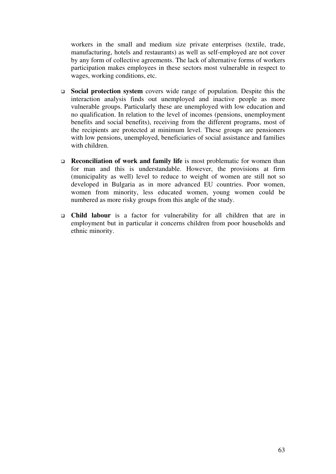workers in the small and medium size private enterprises (textile, trade, manufacturing, hotels and restaurants) as well as self-employed are not cover by any form of collective agreements. The lack of alternative forms of workers participation makes employees in these sectors most vulnerable in respect to wages, working conditions, etc.

- **Social protection system** covers wide range of population. Despite this the interaction analysis finds out unemployed and inactive people as more vulnerable groups. Particularly these are unemployed with low education and no qualification. In relation to the level of incomes (pensions, unemployment benefits and social benefits), receiving from the different programs, most of the recipients are protected at minimum level. These groups are pensioners with low pensions, unemployed, beneficiaries of social assistance and families with children.
- **Reconciliation of work and family life** is most problematic for women than for man and this is understandable. However, the provisions at firm (municipality as well) level to reduce to weight of women are still not so developed in Bulgaria as in more advanced EU countries. Poor women, women from minority, less educated women, young women could be numbered as more risky groups from this angle of the study.
- **Child labour** is a factor for vulnerability for all children that are in employment but in particular it concerns children from poor households and ethnic minority.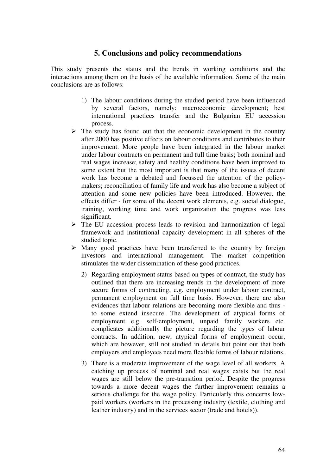# **5. Conclusions and policy recommendations**

This study presents the status and the trends in working conditions and the interactions among them on the basis of the available information. Some of the main conclusions are as follows:

- 1) The labour conditions during the studied period have been influenced by several factors, namely: macroeconomic development; best international practices transfer and the Bulgarian EU accession process.
- $\triangleright$  The study has found out that the economic development in the country after 2000 has positive effects on labour conditions and contributes to their improvement. More people have been integrated in the labour market under labour contracts on permanent and full time basis; both nominal and real wages increase; safety and healthy conditions have been improved to some extent but the most important is that many of the issues of decent work has become a debated and focussed the attention of the policymakers; reconciliation of family life and work has also become a subject of attention and some new policies have been introduced. However, the effects differ - for some of the decent work elements, e.g. social dialogue, training, working time and work organization the progress was less significant.
- $\triangleright$  The EU accession process leads to revision and harmonization of legal framework and institutional capacity development in all spheres of the studied topic.
- $\triangleright$  Many good practices have been transferred to the country by foreign investors and international management. The market competition stimulates the wider dissemination of these good practices.
	- 2) Regarding employment status based on types of contract, the study has outlined that there are increasing trends in the development of more secure forms of contracting, e.g. employment under labour contract, permanent employment on full time basis. However, there are also evidences that labour relations are becoming more flexible and thus to some extend insecure. The development of atypical forms of employment e.g. self-employment, unpaid family workers etc. complicates additionally the picture regarding the types of labour contracts. In addition, new, atypical forms of employment occur, which are however, still not studied in details but point out that both employers and employees need more flexible forms of labour relations.
	- 3) There is a moderate improvement of the wage level of all workers. A catching up process of nominal and real wages exists but the real wages are still below the pre-transition period. Despite the progress towards a more decent wages the further improvement remains a serious challenge for the wage policy. Particularly this concerns lowpaid workers (workers in the processing industry (textile, clothing and leather industry) and in the services sector (trade and hotels)).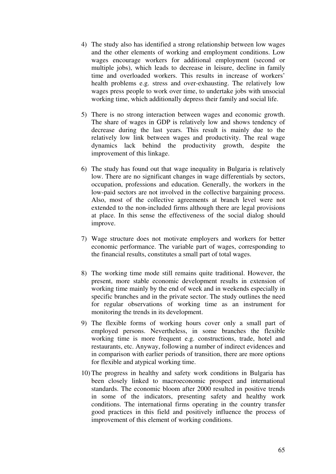- 4) The study also has identified a strong relationship between low wages and the other elements of working and employment conditions. Low wages encourage workers for additional employment (second or multiple jobs), which leads to decrease in leisure, decline in family time and overloaded workers. This results in increase of workers' health problems e.g. stress and over-exhausting. The relatively low wages press people to work over time, to undertake jobs with unsocial working time, which additionally depress their family and social life.
- 5) There is no strong interaction between wages and economic growth. The share of wages in GDP is relatively low and shows tendency of decrease during the last years. This result is mainly due to the relatively low link between wages and productivity. The real wage dynamics lack behind the productivity growth, despite the improvement of this linkage.
- 6) The study has found out that wage inequality in Bulgaria is relatively low. There are no significant changes in wage differentials by sectors, occupation, professions and education. Generally, the workers in the low-paid sectors are not involved in the collective bargaining process. Also, most of the collective agreements at branch level were not extended to the non-included firms although there are legal provisions at place. In this sense the effectiveness of the social dialog should improve.
- 7) Wage structure does not motivate employers and workers for better economic performance. The variable part of wages, corresponding to the financial results, constitutes a small part of total wages.
- 8) The working time mode still remains quite traditional. However, the present, more stable economic development results in extension of working time mainly by the end of week and in weekends especially in specific branches and in the private sector. The study outlines the need for regular observations of working time as an instrument for monitoring the trends in its development.
- 9) The flexible forms of working hours cover only a small part of employed persons. Nevertheless, in some branches the flexible working time is more frequent e.g. constructions, trade, hotel and restaurants, etc. Anyway, following a number of indirect evidences and in comparison with earlier periods of transition, there are more options for flexible and atypical working time.
- 10) The progress in healthy and safety work conditions in Bulgaria has been closely linked to macroeconomic prospect and international standards. The economic bloom after 2000 resulted in positive trends in some of the indicators, presenting safety and healthy work conditions. The international firms operating in the country transfer good practices in this field and positively influence the process of improvement of this element of working conditions.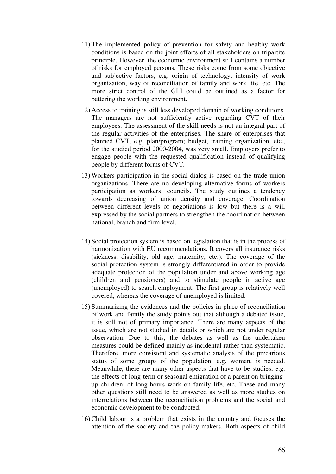- 11) The implemented policy of prevention for safety and healthy work conditions is based on the joint efforts of all stakeholders on tripartite principle. However, the economic environment still contains a number of risks for employed persons. These risks come from some objective and subjective factors, e.g. origin of technology, intensity of work organization, way of reconciliation of family and work life, etc. The more strict control of the GLI could be outlined as a factor for bettering the working environment.
- 12) Access to training is still less developed domain of working conditions. The managers are not sufficiently active regarding CVT of their employees. The assessment of the skill needs is not an integral part of the regular activities of the enterprises. The share of enterprises that planned CVT, e.g. plan/program; budget, training organization, etc., for the studied period 2000-2004, was very small. Employers prefer to engage people with the requested qualification instead of qualifying people by different forms of CVT.
- 13) Workers participation in the social dialog is based on the trade union organizations. There are no developing alternative forms of workers participation as workers' councils. The study outlines a tendency towards decreasing of union density and coverage. Coordination between different levels of negotiations is low but there is a will expressed by the social partners to strengthen the coordination between national, branch and firm level.
- 14) Social protection system is based on legislation that is in the process of harmonization with EU recommendations. It covers all insurance risks (sickness, disability, old age, maternity, etc.). The coverage of the social protection system is strongly differentiated in order to provide adequate protection of the population under and above working age (children and pensioners) and to stimulate people in active age (unemployed) to search employment. The first group is relatively well covered, whereas the coverage of unemployed is limited.
- 15) Summarizing the evidences and the policies in place of reconciliation of work and family the study points out that although a debated issue, it is still not of primary importance. There are many aspects of the issue, which are not studied in details or which are not under regular observation. Due to this, the debates as well as the undertaken measures could be defined mainly as incidental rather than systematic. Therefore, more consistent and systematic analysis of the precarious status of some groups of the population, e.g. women, is needed. Meanwhile, there are many other aspects that have to be studies, e.g. the effects of long-term or seasonal emigration of a parent on bringingup children; of long-hours work on family life, etc. These and many other questions still need to be answered as well as more studies on interrelations between the reconciliation problems and the social and economic development to be conducted.
- 16) Child labour is a problem that exists in the country and focuses the attention of the society and the policy-makers. Both aspects of child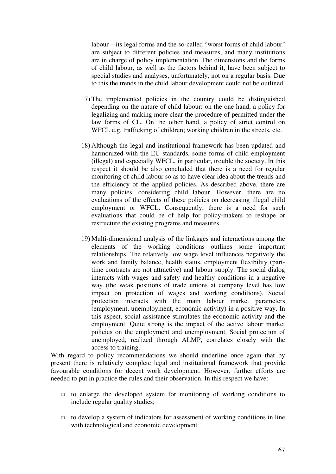labour – its legal forms and the so-called "worst forms of child labour" are subject to different policies and measures, and many institutions are in charge of policy implementation. The dimensions and the forms of child labour, as well as the factors behind it, have been subject to special studies and analyses, unfortunately, not on a regular basis. Due to this the trends in the child labour development could not be outlined.

- 17) The implemented policies in the country could be distinguished depending on the nature of child labour: on the one hand, a policy for legalizing and making more clear the procedure of permitted under the law forms of CL. On the other hand, a policy of strict control on WFCL e.g. trafficking of children; working children in the streets, etc.
- 18) Although the legal and institutional framework has been updated and harmonized with the EU standards, some forms of child employment (illegal) and especially WFCL, in particular, trouble the society. In this respect it should be also concluded that there is a need for regular monitoring of child labour so as to have clear idea about the trends and the efficiency of the applied policies. As described above, there are many policies, considering child labour. However, there are no evaluations of the effects of these policies on decreasing illegal child employment or WFCL. Consequently, there is a need for such evaluations that could be of help for policy-makers to reshape or restructure the existing programs and measures.
- 19) Multi-dimensional analysis of the linkages and interactions among the elements of the working conditions outlines some important relationships. The relatively low wage level influences negatively the work and family balance, health status, employment flexibility (parttime contracts are not attractive) and labour supply. The social dialog interacts with wages and safety and healthy conditions in a negative way (the weak positions of trade unions at company level has low impact on protection of wages and working conditions). Social protection interacts with the main labour market parameters (employment, unemployment, economic activity) in a positive way. In this aspect, social assistance stimulates the economic activity and the employment. Quite strong is the impact of the active labour market policies on the employment and unemployment. Social protection of unemployed, realized through ALMP, correlates closely with the access to training.

With regard to policy recommendations we should underline once again that by present there is relatively complete legal and institutional framework that provide favourable conditions for decent work development. However, further efforts are needed to put in practice the rules and their observation. In this respect we have:

- $\Box$  to enlarge the developed system for monitoring of working conditions to include regular quality studies;
- $\Box$  to develop a system of indicators for assessment of working conditions in line with technological and economic development.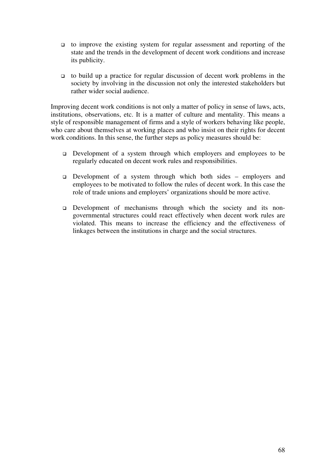- $\Box$  to improve the existing system for regular assessment and reporting of the state and the trends in the development of decent work conditions and increase its publicity.
- $\Box$  to build up a practice for regular discussion of decent work problems in the society by involving in the discussion not only the interested stakeholders but rather wider social audience.

Improving decent work conditions is not only a matter of policy in sense of laws, acts, institutions, observations, etc. It is a matter of culture and mentality. This means a style of responsible management of firms and a style of workers behaving like people, who care about themselves at working places and who insist on their rights for decent work conditions. In this sense, the further steps as policy measures should be:

- Development of a system through which employers and employees to be regularly educated on decent work rules and responsibilities.
- Development of a system through which both sides employers and employees to be motivated to follow the rules of decent work. In this case the role of trade unions and employers' organizations should be more active.
- Development of mechanisms through which the society and its nongovernmental structures could react effectively when decent work rules are violated. This means to increase the efficiency and the effectiveness of linkages between the institutions in charge and the social structures.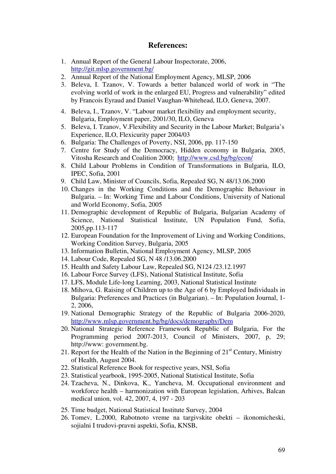#### **References:**

- 1. Annual Report of the General Labour Inspectorate, 2006, http://git.mlsp.government.bg/
- 2. Annual Report of the National Employment Agency, MLSP, 2006
- 3. Beleva, I. Tzanov, V. Towards a better balanced world of work in "The evolving world of work in the enlarged EU, Progress and vulnerability" edited by Francois Eyraud and Daniel Vaughan-Whitehead, ILO, Geneva, 2007.
- 4. Beleva, I., Tzanov, V. "Labour market flexibility and employment security, Bulgaria, Employment paper, 2001/30, ILO, Geneva
- 5. Beleva, I. Tzanov, V.Flexibility and Security in the Labour Market; Bulgaria's Experience, ILO, Flexicurity paper 2004/03
- 6. Bulgaria: The Challenges of Poverty, NSI, 2006, pp. 117-150
- 7. Centre for Study of the Democracy, Hidden economy in Bulgaria, 2005, Vitosha Research and Coalition 2000; http://www.csd.bg/bg/econ/
- 8. Child Labour Problems in Condition of Transformations in Bulgaria, ILO, IPEC, Sofia, 2001
- 9. Child Law, Minister of Councils, Sofia, Repealed SG, N 48/13.06.2000
- 10. Changes in the Working Conditions and the Demographic Behaviour in Bulgaria. – In: Working Time and Labour Conditions, University of National and World Economy, Sofia, 2005
- 11. Demographic development of Republic of Bulgaria, Bulgarian Academy of Science, National Statistical Institute, UN Population Fund, Sofia, 2005,pp.113-117
- 12. European Foundation for the Improvement of Living and Working Conditions, Working Condition Survey, Bulgaria, 2005
- 13. Information Bulletin, National Employment Agency, MLSP, 2005
- 14. Labour Code, Repealed SG, N 48 /13.06.2000
- 15. Health and Safety Labour Law, Repealed SG, N124 /23.12.1997
- 16. Labour Force Survey (LFS), National Statistical Institute, Sofia
- 17. LFS, Module Life-long Learning, 2003, National Statistical Institute
- 18. Mihova, G. Raising of Children up to the Age of 6 by Employed Individuals in Bulgaria: Preferences and Practices (in Bulgarian). – In: Population Journal, 1- 2, 2006,
- 19. National Demographic Strategy of the Republic of Bulgaria 2006-2020, http://www.mlsp.government.bg/bg/docs/demography/Dem
- 20. National Strategic Reference Framework Republic of Bulgaria, For the Programming period 2007-2013, Council of Ministers, 2007, p, 29; http://www: government.bg.
- 21. Report for the Health of the Nation in the Beginning of  $21<sup>st</sup>$  Century, Ministry of Health, August 2004.
- 22. Statistical Reference Book for respective years, NSI, Sofia
- 23. Statistical yearbook, 1995-2005, National Statistical Institute, Sofia
- 24. Tzacheva, N., Dinkova, K., Yancheva, M. Occupational environment and workforce health – harmonization with European legislation, Arhives, Balcan medical union, vol. 42, 2007, 4, 197 - 203
- 25. Time budget, National Statistical Institute Survey, 2004
- 26. Tomev, L.2000, Rabotnoto vreme na targivskite obekti ikonomicheski, sojialni I trudovi-pravni aspekti, Sofia, KNSB,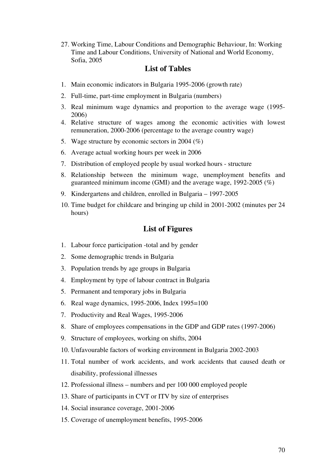27. Working Time, Labour Conditions and Demographic Behaviour, In: Working Time and Labour Conditions, University of National and World Economy, Sofia, 2005

# **List of Tables**

- 1. Main economic indicators in Bulgaria 1995-2006 (growth rate)
- 2. Full-time, part-time employment in Bulgaria (numbers)
- 3. Real minimum wage dynamics and proportion to the average wage (1995- 2006)
- 4. Relative structure of wages among the economic activities with lowest remuneration, 2000-2006 (percentage to the average country wage)
- 5. Wage structure by economic sectors in 2004 (%)
- 6. Average actual working hours per week in 2006
- 7. Distribution of employed people by usual worked hours structure
- 8. Relationship between the minimum wage, unemployment benefits and guaranteed minimum income (GMI) and the average wage, 1992-2005 (%)
- 9. Kindergartens and children, enrolled in Bulgaria 1997-2005
- 10. Time budget for childcare and bringing up child in 2001-2002 (minutes per 24 hours)

#### **List of Figures**

- 1. Labour force participation -total and by gender
- 2. Some demographic trends in Bulgaria
- 3. Population trends by age groups in Bulgaria
- 4. Employment by type of labour contract in Bulgaria
- 5. Permanent and temporary jobs in Bulgaria
- 6. Real wage dynamics, 1995-2006, Index 1995=100
- 7. Productivity and Real Wages, 1995-2006
- 8. Share of employees compensations in the GDP and GDP rates (1997-2006)
- 9. Structure of employees, working on shifts, 2004
- 10. Unfavourable factors of working environment in Bulgaria 2002-2003
- 11. Total number of work accidents, and work accidents that caused death or disability, professional illnesses
- 12. Professional illness numbers and per 100 000 employed people
- 13. Share of participants in CVT or ITV by size of enterprises
- 14. Social insurance coverage, 2001-2006
- 15. Coverage of unemployment benefits, 1995-2006